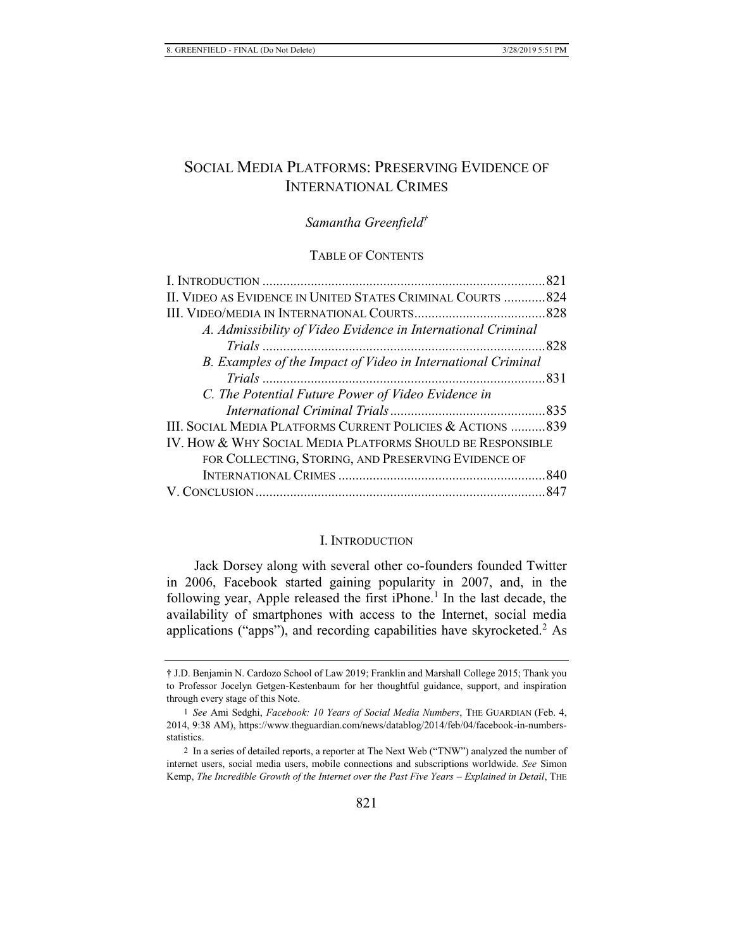# SOCIAL MEDIA PLATFORMS: PRESERVING EVIDENCE OF INTERNATIONAL CRIMES

# *Samantha Greenfield†*

## TABLE OF CONTENTS

| II. VIDEO AS EVIDENCE IN UNITED STATES CRIMINAL COURTS 824   |  |
|--------------------------------------------------------------|--|
|                                                              |  |
| A. Admissibility of Video Evidence in International Criminal |  |
|                                                              |  |
| B. Examples of the Impact of Video in International Criminal |  |
|                                                              |  |
| C. The Potential Future Power of Video Evidence in           |  |
|                                                              |  |
| III. SOCIAL MEDIA PLATFORMS CURRENT POLICIES & ACTIONS 839   |  |
| IV. HOW & WHY SOCIAL MEDIA PLATFORMS SHOULD BE RESPONSIBLE   |  |
| FOR COLLECTING, STORING, AND PRESERVING EVIDENCE OF          |  |
|                                                              |  |
|                                                              |  |
|                                                              |  |

#### I. INTRODUCTION

Jack Dorsey along with several other co-founders founded Twitter in 2006, Facebook started gaining popularity in 2007, and, in the following year, Apple released the first iPhone.<sup>1</sup> In the last decade, the availability of smartphones with access to the Internet, social media applications ("apps"), and recording capabilities have skyrocketed.<sup>2</sup> As

<sup>†</sup> J.D. Benjamin N. Cardozo School of Law 2019; Franklin and Marshall College 2015; Thank you to Professor Jocelyn Getgen-Kestenbaum for her thoughtful guidance, support, and inspiration through every stage of this Note.

<sup>1</sup> *See* Ami Sedghi, *Facebook: 10 Years of Social Media Numbers*, THE GUARDIAN (Feb. 4, 2014, 9:38 AM), https://www.theguardian.com/news/datablog/2014/feb/04/facebook-in-numbersstatistics.

<sup>2</sup> In a series of detailed reports, a reporter at The Next Web ("TNW") analyzed the number of internet users, social media users, mobile connections and subscriptions worldwide. *See* Simon Kemp, *The Incredible Growth of the Internet over the Past Five Years – Explained in Detail*, THE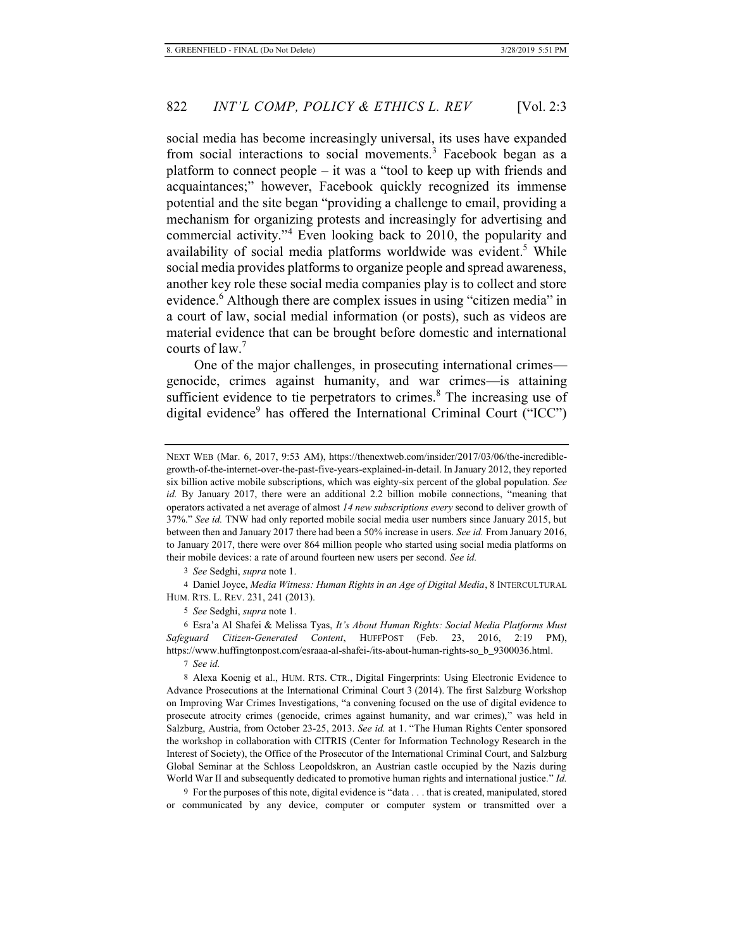social media has become increasingly universal, its uses have expanded from social interactions to social movements.<sup>3</sup> Facebook began as a platform to connect people – it was a "tool to keep up with friends and acquaintances;" however, Facebook quickly recognized its immense potential and the site began "providing a challenge to email, providing a mechanism for organizing protests and increasingly for advertising and commercial activity."<sup>4</sup> Even looking back to 2010, the popularity and availability of social media platforms worldwide was evident.<sup>5</sup> While social media provides platforms to organize people and spread awareness, another key role these social media companies play is to collect and store evidence.6 Although there are complex issues in using "citizen media" in a court of law, social medial information (or posts), such as videos are material evidence that can be brought before domestic and international courts of law.<sup>7</sup>

One of the major challenges, in prosecuting international crimes genocide, crimes against humanity, and war crimes—is attaining sufficient evidence to tie perpetrators to crimes.<sup>8</sup> The increasing use of digital evidence<sup>9</sup> has offered the International Criminal Court ("ICC")

3 *See* Sedghi, *supra* note 1.

4 Daniel Joyce, *Media Witness: Human Rights in an Age of Digital Media*, 8 INTERCULTURAL HUM. RTS. L. REV. 231, 241 (2013).

5 *See* Sedghi, *supra* note 1.

6 Esra'a Al Shafei & Melissa Tyas, *It's About Human Rights: Social Media Platforms Must Safeguard Citizen-Generated Content*, HUFFPOST (Feb. 23, 2016, 2:19 PM), https://www.huffingtonpost.com/esraaa-al-shafei-/its-about-human-rights-so\_b\_9300036.html.

7 *See id.*

8 Alexa Koenig et al., HUM. RTS. CTR., Digital Fingerprints: Using Electronic Evidence to Advance Prosecutions at the International Criminal Court 3 (2014). The first Salzburg Workshop on Improving War Crimes Investigations, "a convening focused on the use of digital evidence to prosecute atrocity crimes (genocide, crimes against humanity, and war crimes)," was held in Salzburg, Austria, from October 23-25, 2013. *See id.* at 1. "The Human Rights Center sponsored the workshop in collaboration with CITRIS (Center for Information Technology Research in the Interest of Society), the Office of the Prosecutor of the International Criminal Court, and Salzburg Global Seminar at the Schloss Leopoldskron, an Austrian castle occupied by the Nazis during World War II and subsequently dedicated to promotive human rights and international justice." *Id.*

9 For the purposes of this note, digital evidence is "data . . . that is created, manipulated, stored or communicated by any device, computer or computer system or transmitted over a

NEXT WEB (Mar. 6, 2017, 9:53 AM), https://thenextweb.com/insider/2017/03/06/the-incrediblegrowth-of-the-internet-over-the-past-five-years-explained-in-detail. In January 2012, they reported six billion active mobile subscriptions, which was eighty-six percent of the global population. *See id.* By January 2017, there were an additional 2.2 billion mobile connections, "meaning that operators activated a net average of almost *14 new subscriptions every* second to deliver growth of 37%." *See id.* TNW had only reported mobile social media user numbers since January 2015, but between then and January 2017 there had been a 50% increase in users. *See id.* From January 2016, to January 2017, there were over 864 million people who started using social media platforms on their mobile devices: a rate of around fourteen new users per second. *See id.*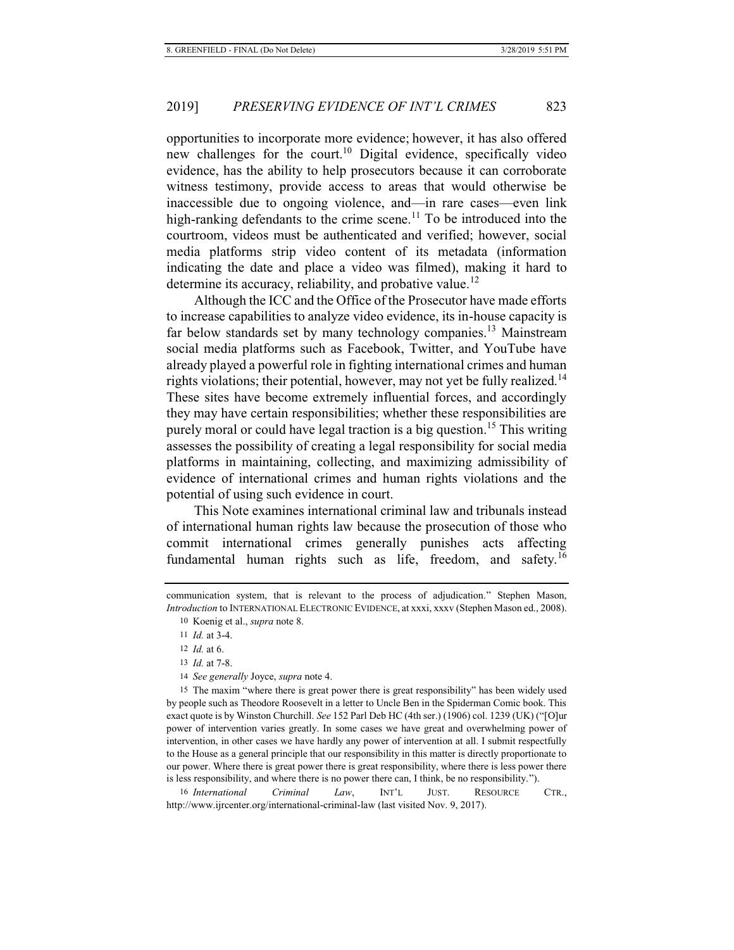opportunities to incorporate more evidence; however, it has also offered new challenges for the court.<sup>10</sup> Digital evidence, specifically video evidence, has the ability to help prosecutors because it can corroborate witness testimony, provide access to areas that would otherwise be inaccessible due to ongoing violence, and—in rare cases—even link high-ranking defendants to the crime scene.<sup>11</sup> To be introduced into the courtroom, videos must be authenticated and verified; however, social media platforms strip video content of its metadata (information indicating the date and place a video was filmed), making it hard to determine its accuracy, reliability, and probative value.<sup>12</sup>

Although the ICC and the Office of the Prosecutor have made efforts to increase capabilities to analyze video evidence, its in-house capacity is far below standards set by many technology companies.<sup>13</sup> Mainstream social media platforms such as Facebook, Twitter, and YouTube have already played a powerful role in fighting international crimes and human rights violations; their potential, however, may not yet be fully realized.<sup>14</sup> These sites have become extremely influential forces, and accordingly they may have certain responsibilities; whether these responsibilities are purely moral or could have legal traction is a big question.<sup>15</sup> This writing assesses the possibility of creating a legal responsibility for social media platforms in maintaining, collecting, and maximizing admissibility of evidence of international crimes and human rights violations and the potential of using such evidence in court.

This Note examines international criminal law and tribunals instead of international human rights law because the prosecution of those who commit international crimes generally punishes acts affecting fundamental human rights such as life, freedom, and safety.<sup>16</sup>

14 *See generally* Joyce, *supra* note 4.

15 The maxim "where there is great power there is great responsibility" has been widely used by people such as Theodore Roosevelt in a letter to Uncle Ben in the Spiderman Comic book. This exact quote is by Winston Churchill. *See* 152 Parl Deb HC (4th ser.) (1906) col. 1239 (UK) ("[O]ur power of intervention varies greatly. In some cases we have great and overwhelming power of intervention, in other cases we have hardly any power of intervention at all. I submit respectfully to the House as a general principle that our responsibility in this matter is directly proportionate to our power. Where there is great power there is great responsibility, where there is less power there is less responsibility, and where there is no power there can, I think, be no responsibility.").

16 *International Criminal Law*, INT'L JUST. RESOURCE CTR., http://www.ijrcenter.org/international-criminal-law (last visited Nov. 9, 2017).

communication system, that is relevant to the process of adjudication." Stephen Mason, *Introduction* to INTERNATIONAL ELECTRONIC EVIDENCE, at xxxi, xxxv (Stephen Mason ed., 2008).

<sup>10</sup> Koenig et al., *supra* note 8.

<sup>11</sup> *Id.* at 3-4.

<sup>12</sup> *Id.* at 6.

<sup>13</sup> *Id.* at 7-8.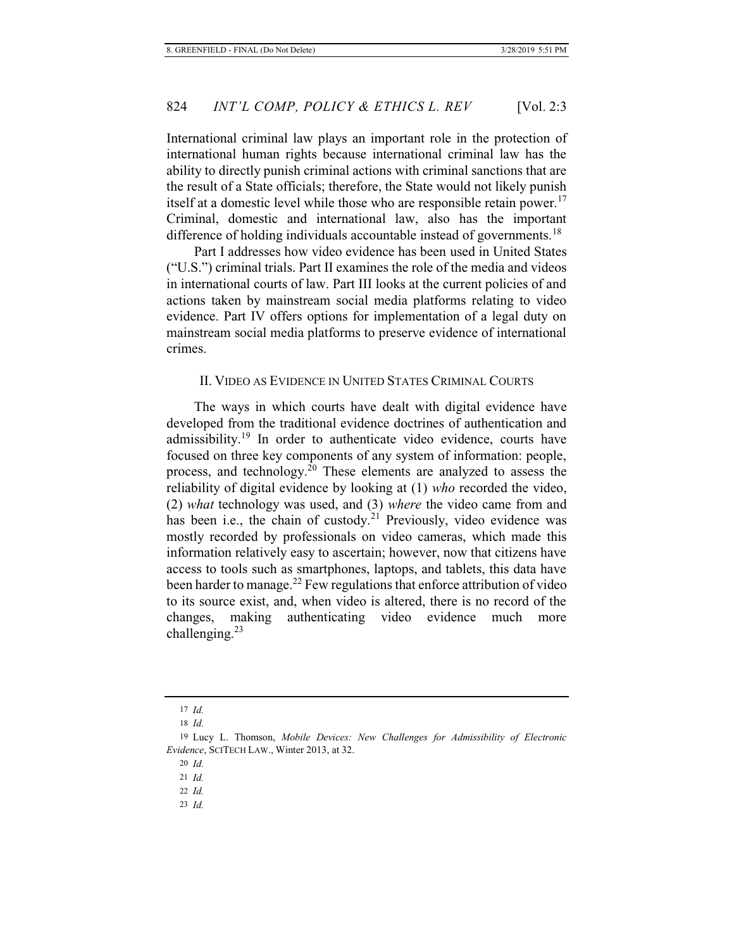International criminal law plays an important role in the protection of international human rights because international criminal law has the ability to directly punish criminal actions with criminal sanctions that are the result of a State officials; therefore, the State would not likely punish itself at a domestic level while those who are responsible retain power.<sup>17</sup> Criminal, domestic and international law, also has the important difference of holding individuals accountable instead of governments.<sup>18</sup>

Part I addresses how video evidence has been used in United States ("U.S.") criminal trials. Part II examines the role of the media and videos in international courts of law. Part III looks at the current policies of and actions taken by mainstream social media platforms relating to video evidence. Part IV offers options for implementation of a legal duty on mainstream social media platforms to preserve evidence of international crimes.

## II. VIDEO AS EVIDENCE IN UNITED STATES CRIMINAL COURTS

The ways in which courts have dealt with digital evidence have developed from the traditional evidence doctrines of authentication and admissibility.<sup>19</sup> In order to authenticate video evidence, courts have focused on three key components of any system of information: people, process, and technology.<sup>20</sup> These elements are analyzed to assess the reliability of digital evidence by looking at (1) *who* recorded the video, (2) *what* technology was used, and (3) *where* the video came from and has been i.e., the chain of custody.<sup>21</sup> Previously, video evidence was mostly recorded by professionals on video cameras, which made this information relatively easy to ascertain; however, now that citizens have access to tools such as smartphones, laptops, and tablets, this data have been harder to manage.<sup>22</sup> Few regulations that enforce attribution of video to its source exist, and, when video is altered, there is no record of the changes, making authenticating video evidence much more challenging.<sup>23</sup>

23 *Id.*

<sup>17</sup> *Id.*

<sup>18</sup> *Id.*

<sup>19</sup> Lucy L. Thomson, *Mobile Devices: New Challenges for Admissibility of Electronic Evidence*, SCITECH LAW., Winter 2013, at 32.

<sup>20</sup> *Id.*

<sup>21</sup> *Id.*

<sup>22</sup> *Id.*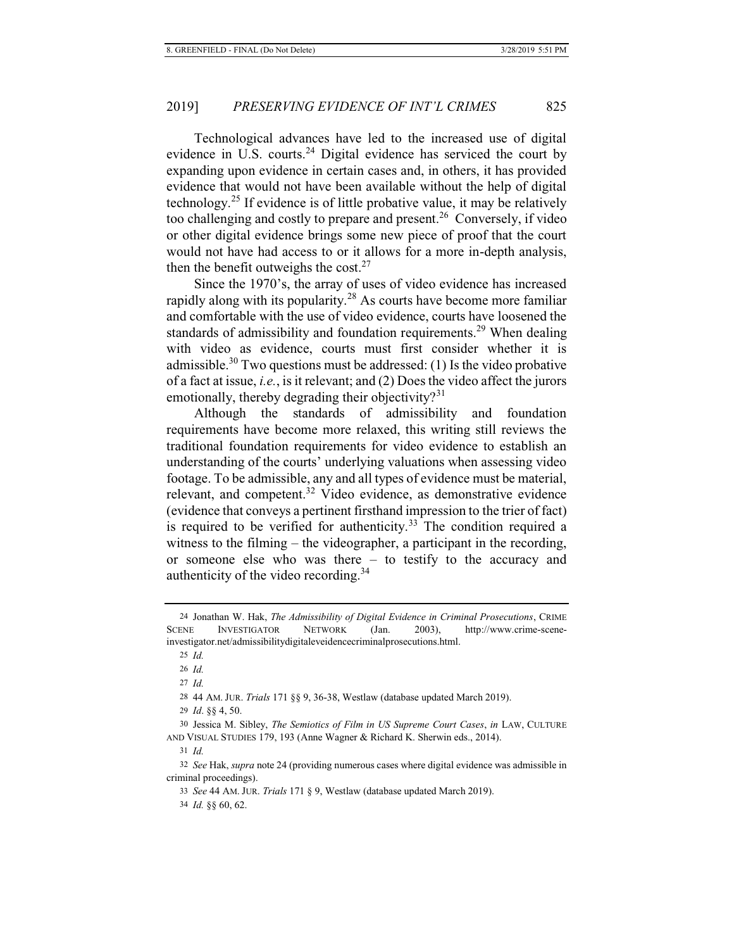Technological advances have led to the increased use of digital evidence in U.S. courts.<sup>24</sup> Digital evidence has serviced the court by expanding upon evidence in certain cases and, in others, it has provided evidence that would not have been available without the help of digital technology.<sup>25</sup> If evidence is of little probative value, it may be relatively too challenging and costly to prepare and present.<sup>26</sup> Conversely, if video or other digital evidence brings some new piece of proof that the court would not have had access to or it allows for a more in-depth analysis, then the benefit outweighs the cost. $27$ 

Since the 1970's, the array of uses of video evidence has increased rapidly along with its popularity.<sup>28</sup> As courts have become more familiar and comfortable with the use of video evidence, courts have loosened the standards of admissibility and foundation requirements.<sup>29</sup> When dealing with video as evidence, courts must first consider whether it is admissible.<sup>30</sup> Two questions must be addressed: (1) Is the video probative of a fact at issue, *i.e.*, is it relevant; and (2) Does the video affect the jurors emotionally, thereby degrading their objectivity?<sup>31</sup>

Although the standards of admissibility and foundation requirements have become more relaxed, this writing still reviews the traditional foundation requirements for video evidence to establish an understanding of the courts' underlying valuations when assessing video footage. To be admissible, any and all types of evidence must be material, relevant, and competent.32 Video evidence, as demonstrative evidence (evidence that conveys a pertinent firsthand impression to the trier of fact) is required to be verified for authenticity.<sup>33</sup> The condition required a witness to the filming – the videographer, a participant in the recording, or someone else who was there – to testify to the accuracy and authenticity of the video recording.<sup>34</sup>

27 *Id.*

28 44 AM. JUR. *Trials* 171 §§ 9, 36-38, Westlaw (database updated March 2019).

30 Jessica M. Sibley, *The Semiotics of Film in US Supreme Court Cases*, *in* LAW, CULTURE AND VISUAL STUDIES 179, 193 (Anne Wagner & Richard K. Sherwin eds., 2014).

31 *Id.*

32 *See* Hak, *supra* note 24 (providing numerous cases where digital evidence was admissible in criminal proceedings).

33 *See* 44 AM. JUR. *Trials* 171 § 9, Westlaw (database updated March 2019).

34 *Id.* §§ 60, 62.

<sup>24</sup> Jonathan W. Hak, *The Admissibility of Digital Evidence in Criminal Prosecutions*, CRIME SCENE INVESTIGATOR NETWORK (Jan. 2003), http://www.crime-sceneinvestigator.net/admissibilitydigitaleveidencecriminalprosecutions.html.

<sup>25</sup> *Id.*

<sup>26</sup> *Id.*

<sup>29</sup> *Id*. §§ 4, 50.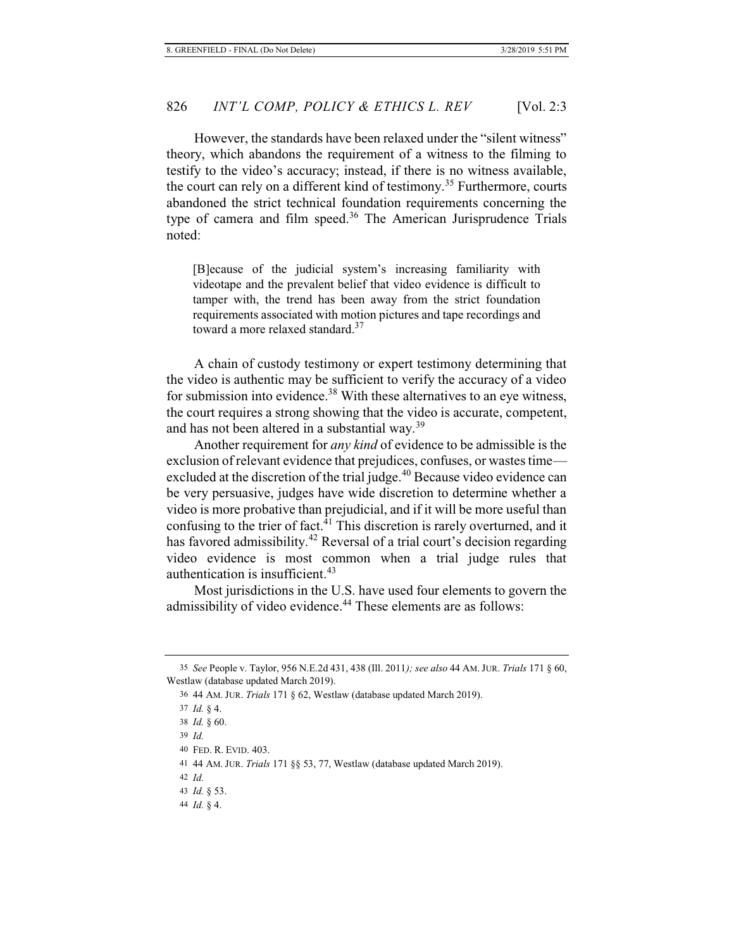However, the standards have been relaxed under the "silent witness" theory, which abandons the requirement of a witness to the filming to testify to the video's accuracy; instead, if there is no witness available, the court can rely on a different kind of testimony.<sup>35</sup> Furthermore, courts abandoned the strict technical foundation requirements concerning the type of camera and film speed.<sup>36</sup> The American Jurisprudence Trials noted:

[B]ecause of the judicial system's increasing familiarity with videotape and the prevalent belief that video evidence is difficult to tamper with, the trend has been away from the strict foundation requirements associated with motion pictures and tape recordings and toward a more relaxed standard.<sup>37</sup>

A chain of custody testimony or expert testimony determining that the video is authentic may be sufficient to verify the accuracy of a video for submission into evidence.<sup>38</sup> With these alternatives to an eye witness, the court requires a strong showing that the video is accurate, competent, and has not been altered in a substantial way.<sup>39</sup>

Another requirement for *any kind* of evidence to be admissible is the exclusion of relevant evidence that prejudices, confuses, or wastes time excluded at the discretion of the trial judge.<sup>40</sup> Because video evidence can be very persuasive, judges have wide discretion to determine whether a video is more probative than prejudicial, and if it will be more useful than confusing to the trier of fact. $41$  This discretion is rarely overturned, and it has favored admissibility.<sup>42</sup> Reversal of a trial court's decision regarding video evidence is most common when a trial judge rules that authentication is insufficient.<sup>43</sup>

Most jurisdictions in the U.S. have used four elements to govern the admissibility of video evidence.<sup>44</sup> These elements are as follows:

<sup>35</sup> *See* People v. Taylor, 956 N.E.2d 431, 438 (Ill. 2011*); see also* 44 AM.JUR. *Trials* 171 § 60, Westlaw (database updated March 2019).

<sup>36 44</sup> AM. JUR. *Trials* 171 § 62, Westlaw (database updated March 2019).

<sup>37</sup> *Id.* § 4.

<sup>38</sup> *Id.* § 60.

<sup>39</sup> *Id.*

<sup>40</sup> FED. R. EVID. 403.

<sup>41 44</sup> AM. JUR. *Trials* 171 §§ 53, 77, Westlaw (database updated March 2019).

<sup>42</sup> *Id.*

<sup>43</sup> *Id.* § 53.

<sup>44</sup> *Id.* § 4.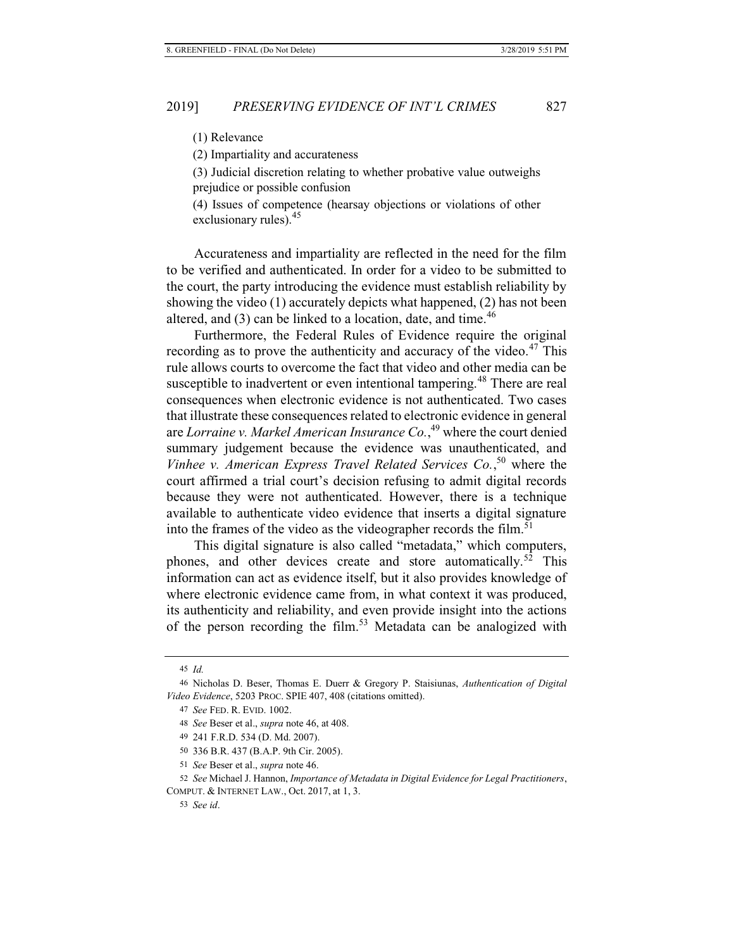(2) Impartiality and accurateness

(3) Judicial discretion relating to whether probative value outweighs prejudice or possible confusion

(4) Issues of competence (hearsay objections or violations of other exclusionary rules).<sup>45</sup>

Accurateness and impartiality are reflected in the need for the film to be verified and authenticated. In order for a video to be submitted to the court, the party introducing the evidence must establish reliability by showing the video (1) accurately depicts what happened, (2) has not been altered, and  $(3)$  can be linked to a location, date, and time.<sup>46</sup>

Furthermore, the Federal Rules of Evidence require the original recording as to prove the authenticity and accuracy of the video. $47$  This rule allows courts to overcome the fact that video and other media can be susceptible to inadvertent or even intentional tampering.<sup>48</sup> There are real consequences when electronic evidence is not authenticated. Two cases that illustrate these consequences related to electronic evidence in general are *Lorraine v. Markel American Insurance Co.*, 49 where the court denied summary judgement because the evidence was unauthenticated, and *Vinhee v. American Express Travel Related Services Co.*, 50 where the court affirmed a trial court's decision refusing to admit digital records because they were not authenticated. However, there is a technique available to authenticate video evidence that inserts a digital signature into the frames of the video as the videographer records the film.<sup>51</sup>

This digital signature is also called "metadata," which computers, phones, and other devices create and store automatically.<sup>52</sup> This information can act as evidence itself, but it also provides knowledge of where electronic evidence came from, in what context it was produced, its authenticity and reliability, and even provide insight into the actions of the person recording the film.<sup>53</sup> Metadata can be analogized with

<sup>45</sup> *Id.*

<sup>46</sup> Nicholas D. Beser, Thomas E. Duerr & Gregory P. Staisiunas, *Authentication of Digital Video Evidence*, 5203 PROC. SPIE 407, 408 (citations omitted).

<sup>47</sup> *See* FED. R. EVID. 1002.

<sup>48</sup> *See* Beser et al., *supra* note 46, at 408.

<sup>49 241</sup> F.R.D. 534 (D. Md. 2007).

<sup>50 336</sup> B.R. 437 (B.A.P. 9th Cir. 2005).

<sup>51</sup> *See* Beser et al., *supra* note 46.

<sup>52</sup> *See* Michael J. Hannon, *Importance of Metadata in Digital Evidence for Legal Practitioners*, COMPUT. & INTERNET LAW., Oct. 2017, at 1, 3.

<sup>53</sup> *See id*.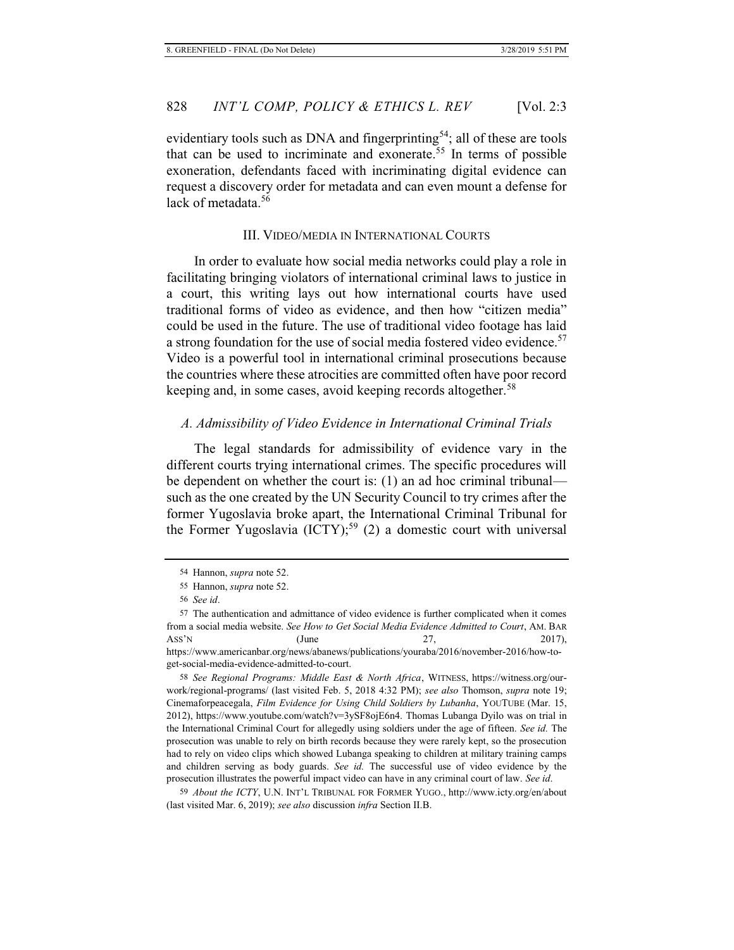evidentiary tools such as DNA and fingerprinting<sup>54</sup>; all of these are tools that can be used to incriminate and exonerate.<sup>55</sup> In terms of possible exoneration, defendants faced with incriminating digital evidence can request a discovery order for metadata and can even mount a defense for lack of metadata.<sup>56</sup>

## III. VIDEO/MEDIA IN INTERNATIONAL COURTS

In order to evaluate how social media networks could play a role in facilitating bringing violators of international criminal laws to justice in a court, this writing lays out how international courts have used traditional forms of video as evidence, and then how "citizen media" could be used in the future. The use of traditional video footage has laid a strong foundation for the use of social media fostered video evidence.<sup>57</sup> Video is a powerful tool in international criminal prosecutions because the countries where these atrocities are committed often have poor record keeping and, in some cases, avoid keeping records altogether.<sup>58</sup>

## *A. Admissibility of Video Evidence in International Criminal Trials*

The legal standards for admissibility of evidence vary in the different courts trying international crimes. The specific procedures will be dependent on whether the court is: (1) an ad hoc criminal tribunal such as the one created by the UN Security Council to try crimes after the former Yugoslavia broke apart, the International Criminal Tribunal for the Former Yugoslavia  $(ICTY);^{59} (2)$  a domestic court with universal

get-social-media-evidence-admitted-to-court. 58 *See Regional Programs: Middle East & North Africa*, WITNESS, https://witness.org/ourwork/regional-programs/ (last visited Feb. 5, 2018 4:32 PM); *see also* Thomson, *supra* note 19; Cinemaforpeacegala, *Film Evidence for Using Child Soldiers by Lubanha*, YOUTUBE (Mar. 15, 2012), https://www.youtube.com/watch?v=3ySF8ojE6n4. Thomas Lubanga Dyilo was on trial in the International Criminal Court for allegedly using soldiers under the age of fifteen. *See id.* The prosecution was unable to rely on birth records because they were rarely kept, so the prosecution had to rely on video clips which showed Lubanga speaking to children at military training camps

and children serving as body guards. *See id.* The successful use of video evidence by the prosecution illustrates the powerful impact video can have in any criminal court of law. *See id*.

59 *About the ICTY*, U.N. INT'L TRIBUNAL FOR FORMER YUGO., http://www.icty.org/en/about (last visited Mar. 6, 2019); *see also* discussion *infra* Section II.B.

<sup>54</sup> Hannon, *supra* note 52.

<sup>55</sup> Hannon, *supra* note 52.

<sup>56</sup> *See id*.

<sup>57</sup> The authentication and admittance of video evidence is further complicated when it comes from a social media website. *See How to Get Social Media Evidence Admitted to Court*, AM. BAR Ass'N  $(\text{June} 27, 2017)$ , https://www.americanbar.org/news/abanews/publications/youraba/2016/november-2016/how-to-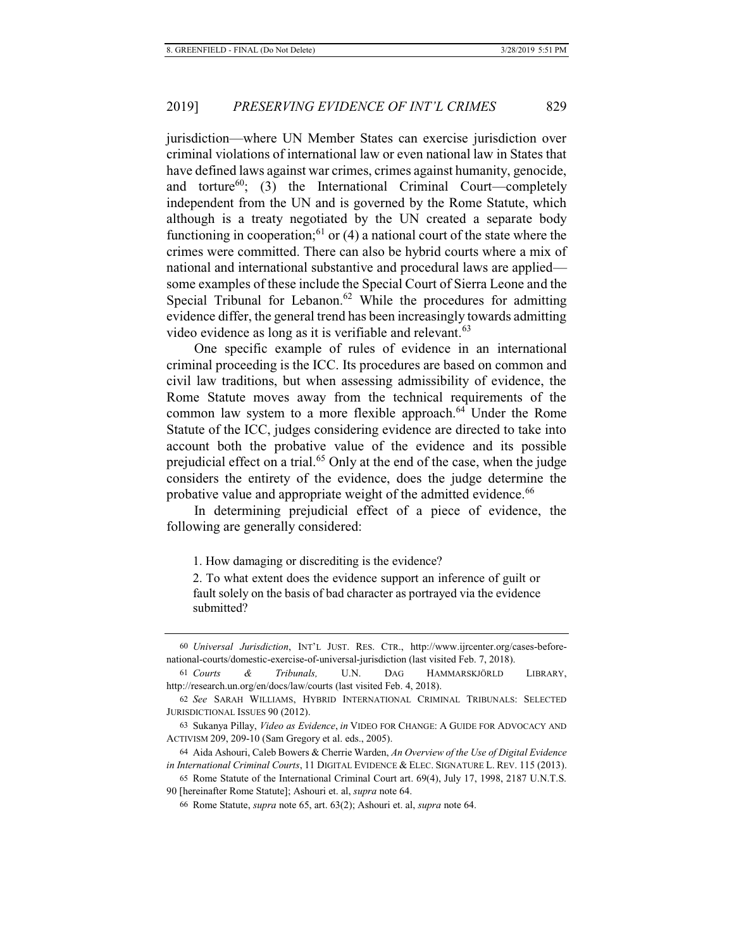jurisdiction—where UN Member States can exercise jurisdiction over criminal violations of international law or even national law in States that have defined laws against war crimes, crimes against humanity, genocide, and torture<sup>60</sup>; (3) the International Criminal Court—completely independent from the UN and is governed by the Rome Statute, which although is a treaty negotiated by the UN created a separate body functioning in cooperation;<sup>61</sup> or (4) a national court of the state where the crimes were committed. There can also be hybrid courts where a mix of national and international substantive and procedural laws are applied some examples of these include the Special Court of Sierra Leone and the Special Tribunal for Lebanon.<sup>62</sup> While the procedures for admitting evidence differ, the general trend has been increasingly towards admitting video evidence as long as it is verifiable and relevant.<sup>63</sup>

One specific example of rules of evidence in an international criminal proceeding is the ICC. Its procedures are based on common and civil law traditions, but when assessing admissibility of evidence, the Rome Statute moves away from the technical requirements of the common law system to a more flexible approach.<sup>64</sup> Under the Rome Statute of the ICC, judges considering evidence are directed to take into account both the probative value of the evidence and its possible prejudicial effect on a trial.<sup>65</sup> Only at the end of the case, when the judge considers the entirety of the evidence, does the judge determine the probative value and appropriate weight of the admitted evidence.<sup>66</sup>

In determining prejudicial effect of a piece of evidence, the following are generally considered:

1. How damaging or discrediting is the evidence?

2. To what extent does the evidence support an inference of guilt or fault solely on the basis of bad character as portrayed via the evidence submitted?

<sup>60</sup> *Universal Jurisdiction*, INT'L JUST. RES. CTR., http://www.ijrcenter.org/cases-beforenational-courts/domestic-exercise-of-universal-jurisdiction (last visited Feb. 7, 2018).

<sup>61</sup> *Courts & Tribunals,* U.N. DAG HAMMARSKJÖRLD LIBRARY, http://research.un.org/en/docs/law/courts (last visited Feb. 4, 2018).

<sup>62</sup> *See* SARAH WILLIAMS, HYBRID INTERNATIONAL CRIMINAL TRIBUNALS: SELECTED JURISDICTIONAL ISSUES 90 (2012).

<sup>63</sup> Sukanya Pillay, *Video as Evidence*, *in* VIDEO FOR CHANGE: A GUIDE FOR ADVOCACY AND ACTIVISM 209, 209-10 (Sam Gregory et al. eds., 2005).

<sup>64</sup> Aida Ashouri, Caleb Bowers & Cherrie Warden, *An Overview of the Use of Digital Evidence in International Criminal Courts*, 11 DIGITAL EVIDENCE & ELEC. SIGNATURE L. REV. 115 (2013).

<sup>65</sup> Rome Statute of the International Criminal Court art. 69(4), July 17, 1998, 2187 U.N.T.S. 90 [hereinafter Rome Statute]; Ashouri et. al, *supra* note 64.

<sup>66</sup> Rome Statute, *supra* note 65, art. 63(2); Ashouri et. al, *supra* note 64.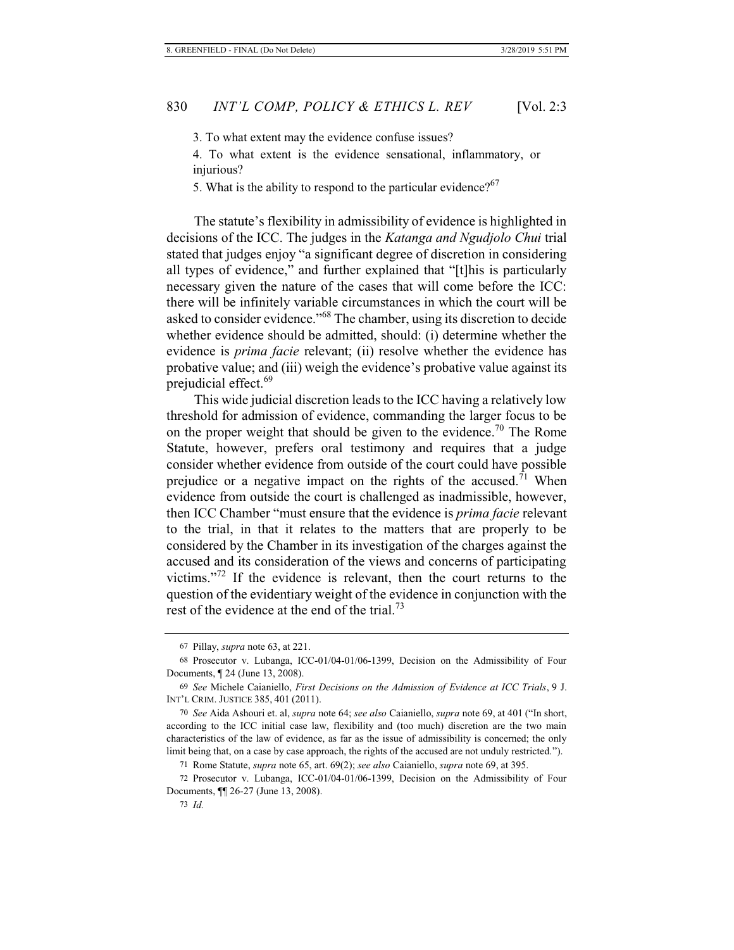3. To what extent may the evidence confuse issues?

4. To what extent is the evidence sensational, inflammatory, or injurious?

5. What is the ability to respond to the particular evidence? $67$ 

The statute's flexibility in admissibility of evidence is highlighted in decisions of the ICC. The judges in the *Katanga and Ngudjolo Chui* trial stated that judges enjoy "a significant degree of discretion in considering all types of evidence," and further explained that "[t]his is particularly necessary given the nature of the cases that will come before the ICC: there will be infinitely variable circumstances in which the court will be asked to consider evidence."68 The chamber, using its discretion to decide whether evidence should be admitted, should: (i) determine whether the evidence is *prima facie* relevant; (ii) resolve whether the evidence has probative value; and (iii) weigh the evidence's probative value against its prejudicial effect.<sup>69</sup>

This wide judicial discretion leads to the ICC having a relatively low threshold for admission of evidence, commanding the larger focus to be on the proper weight that should be given to the evidence.<sup>70</sup> The Rome Statute, however, prefers oral testimony and requires that a judge consider whether evidence from outside of the court could have possible prejudice or a negative impact on the rights of the accused.<sup>71</sup> When evidence from outside the court is challenged as inadmissible, however, then ICC Chamber "must ensure that the evidence is *prima facie* relevant to the trial, in that it relates to the matters that are properly to be considered by the Chamber in its investigation of the charges against the accused and its consideration of the views and concerns of participating victims."72 If the evidence is relevant, then the court returns to the question of the evidentiary weight of the evidence in conjunction with the rest of the evidence at the end of the trial.<sup>73</sup>

<sup>67</sup> Pillay, *supra* note 63, at 221.

<sup>68</sup> Prosecutor v. Lubanga, ICC-01/04-01/06-1399, Decision on the Admissibility of Four Documents, ¶ 24 (June 13, 2008).

<sup>69</sup> *See* Michele Caianiello, *First Decisions on the Admission of Evidence at ICC Trials*, 9 J. INT'L CRIM. JUSTICE 385, 401 (2011).

<sup>70</sup> *See* Aida Ashouri et. al, *supra* note 64; *see also* Caianiello, *supra* note 69, at 401 ("In short, according to the ICC initial case law, flexibility and (too much) discretion are the two main characteristics of the law of evidence, as far as the issue of admissibility is concerned; the only limit being that, on a case by case approach, the rights of the accused are not unduly restricted.").

<sup>71</sup> Rome Statute, *supra* note 65, art. 69(2); *see also* Caianiello, *supra* note 69, at 395.

<sup>72</sup> Prosecutor v. Lubanga, ICC-01/04-01/06-1399, Decision on the Admissibility of Four Documents, ¶¶ 26-27 (June 13, 2008).

<sup>73</sup> *Id.*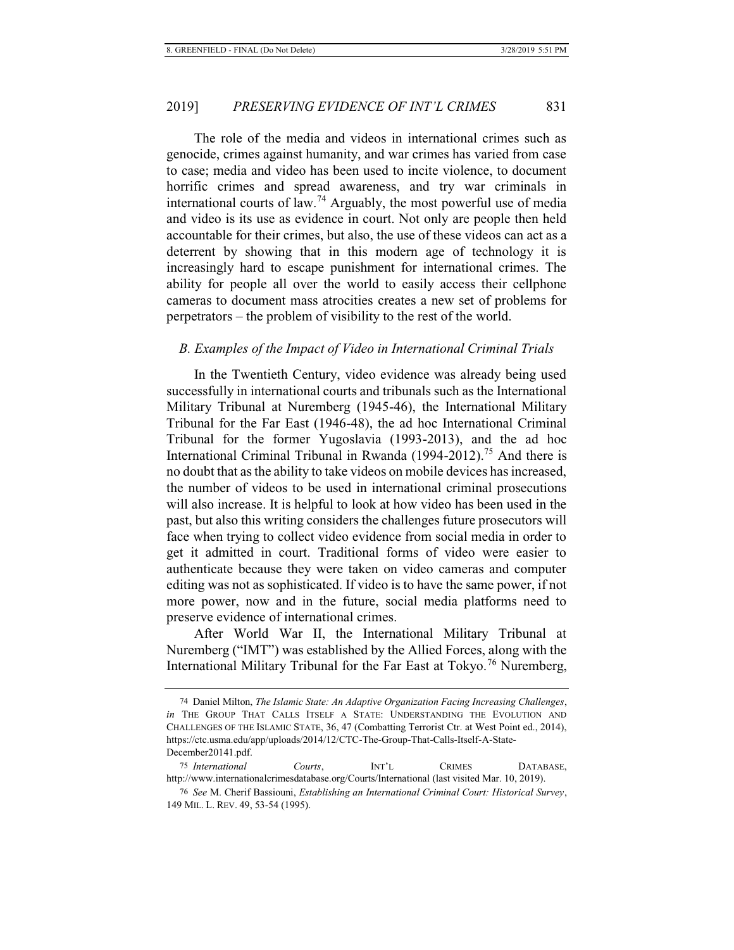The role of the media and videos in international crimes such as genocide, crimes against humanity, and war crimes has varied from case to case; media and video has been used to incite violence, to document horrific crimes and spread awareness, and try war criminals in international courts of law.<sup>74</sup> Arguably, the most powerful use of media and video is its use as evidence in court. Not only are people then held accountable for their crimes, but also, the use of these videos can act as a deterrent by showing that in this modern age of technology it is increasingly hard to escape punishment for international crimes. The ability for people all over the world to easily access their cellphone cameras to document mass atrocities creates a new set of problems for perpetrators – the problem of visibility to the rest of the world.

## *B. Examples of the Impact of Video in International Criminal Trials*

In the Twentieth Century, video evidence was already being used successfully in international courts and tribunals such as the International Military Tribunal at Nuremberg (1945-46), the International Military Tribunal for the Far East (1946-48), the ad hoc International Criminal Tribunal for the former Yugoslavia (1993-2013), and the ad hoc International Criminal Tribunal in Rwanda  $(1994-2012)$ <sup>75</sup> And there is no doubt that as the ability to take videos on mobile devices has increased, the number of videos to be used in international criminal prosecutions will also increase. It is helpful to look at how video has been used in the past, but also this writing considers the challenges future prosecutors will face when trying to collect video evidence from social media in order to get it admitted in court. Traditional forms of video were easier to authenticate because they were taken on video cameras and computer editing was not as sophisticated. If video is to have the same power, if not more power, now and in the future, social media platforms need to preserve evidence of international crimes.

After World War II, the International Military Tribunal at Nuremberg ("IMT") was established by the Allied Forces, along with the International Military Tribunal for the Far East at Tokyo.<sup>76</sup> Nuremberg,

<sup>74</sup> Daniel Milton, *The Islamic State: An Adaptive Organization Facing Increasing Challenges*, *in* THE GROUP THAT CALLS ITSELF A STATE: UNDERSTANDING THE EVOLUTION AND CHALLENGES OF THE ISLAMIC STATE, 36, 47 (Combatting Terrorist Ctr. at West Point ed., 2014), https://ctc.usma.edu/app/uploads/2014/12/CTC-The-Group-That-Calls-Itself-A-State-December20141.pdf.

<sup>75</sup> *International Courts*, INT'L CRIMES DATABASE, http://www.internationalcrimesdatabase.org/Courts/International (last visited Mar. 10, 2019).

<sup>76</sup> *See* M. Cherif Bassiouni, *Establishing an International Criminal Court: Historical Survey*, 149 MIL. L. REV. 49, 53-54 (1995).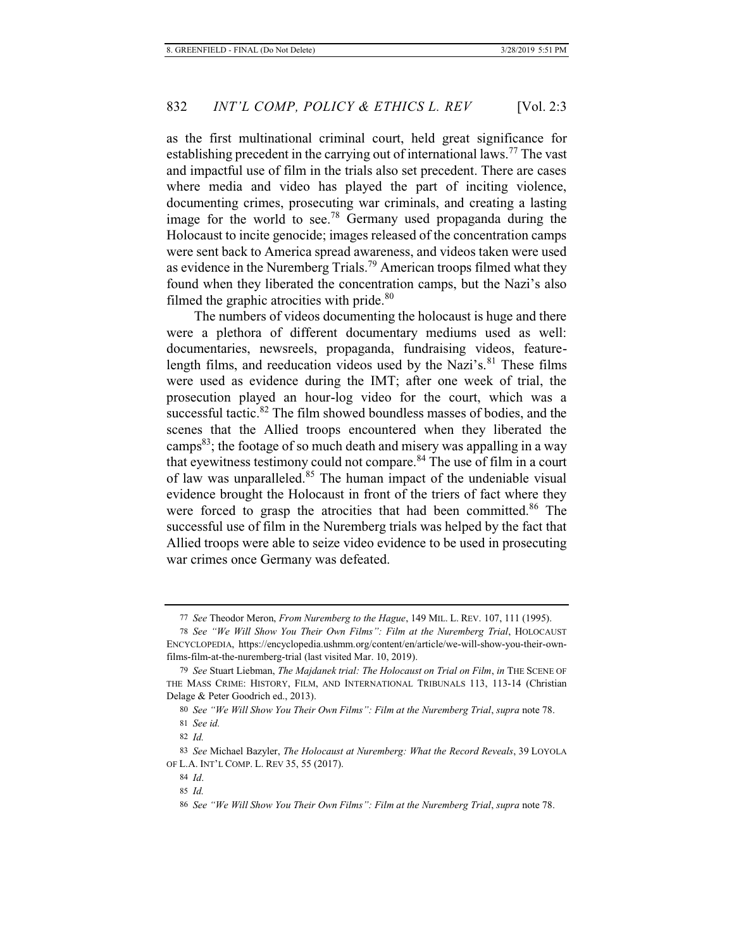as the first multinational criminal court, held great significance for establishing precedent in the carrying out of international laws.<sup>77</sup> The vast and impactful use of film in the trials also set precedent. There are cases where media and video has played the part of inciting violence, documenting crimes, prosecuting war criminals, and creating a lasting image for the world to see.<sup>78</sup> Germany used propaganda during the Holocaust to incite genocide; images released of the concentration camps were sent back to America spread awareness, and videos taken were used as evidence in the Nuremberg Trials.79 American troops filmed what they found when they liberated the concentration camps, but the Nazi's also filmed the graphic atrocities with pride. $80$ 

The numbers of videos documenting the holocaust is huge and there were a plethora of different documentary mediums used as well: documentaries, newsreels, propaganda, fundraising videos, featurelength films, and reeducation videos used by the Nazi's. $81$  These films were used as evidence during the IMT; after one week of trial, the prosecution played an hour-log video for the court, which was a successful tactic.<sup>82</sup> The film showed boundless masses of bodies, and the scenes that the Allied troops encountered when they liberated the camps $^{83}$ ; the footage of so much death and misery was appalling in a way that eyewitness testimony could not compare.<sup>84</sup> The use of film in a court of law was unparalleled.<sup>85</sup> The human impact of the undeniable visual evidence brought the Holocaust in front of the triers of fact where they were forced to grasp the atrocities that had been committed.<sup>86</sup> The successful use of film in the Nuremberg trials was helped by the fact that Allied troops were able to seize video evidence to be used in prosecuting war crimes once Germany was defeated.

<sup>77</sup> *See* Theodor Meron, *From Nuremberg to the Hague*, 149 MIL. L. REV. 107, 111 (1995).

<sup>78</sup> *See "We Will Show You Their Own Films": Film at the Nuremberg Trial*, HOLOCAUST ENCYCLOPEDIA, https://encyclopedia.ushmm.org/content/en/article/we-will-show-you-their-ownfilms-film-at-the-nuremberg-trial (last visited Mar. 10, 2019).

<sup>79</sup> *See* Stuart Liebman, *The Majdanek trial: The Holocaust on Trial on Film*, *in* THE SCENE OF THE MASS CRIME: HISTORY, FILM, AND INTERNATIONAL TRIBUNALS 113, 113-14 (Christian Delage & Peter Goodrich ed., 2013).

<sup>80</sup> *See "We Will Show You Their Own Films": Film at the Nuremberg Trial*, *supra* note 78.

<sup>81</sup> *See id.*

<sup>82</sup> *Id.*

<sup>83</sup> *See* Michael Bazyler, *The Holocaust at Nuremberg: What the Record Reveals*, 39 LOYOLA OF L.A. INT'L COMP. L. REV 35, 55 (2017).

<sup>84</sup> *Id*.

<sup>85</sup> *Id.*

<sup>86</sup> *See "We Will Show You Their Own Films": Film at the Nuremberg Trial*, *supra* note 78.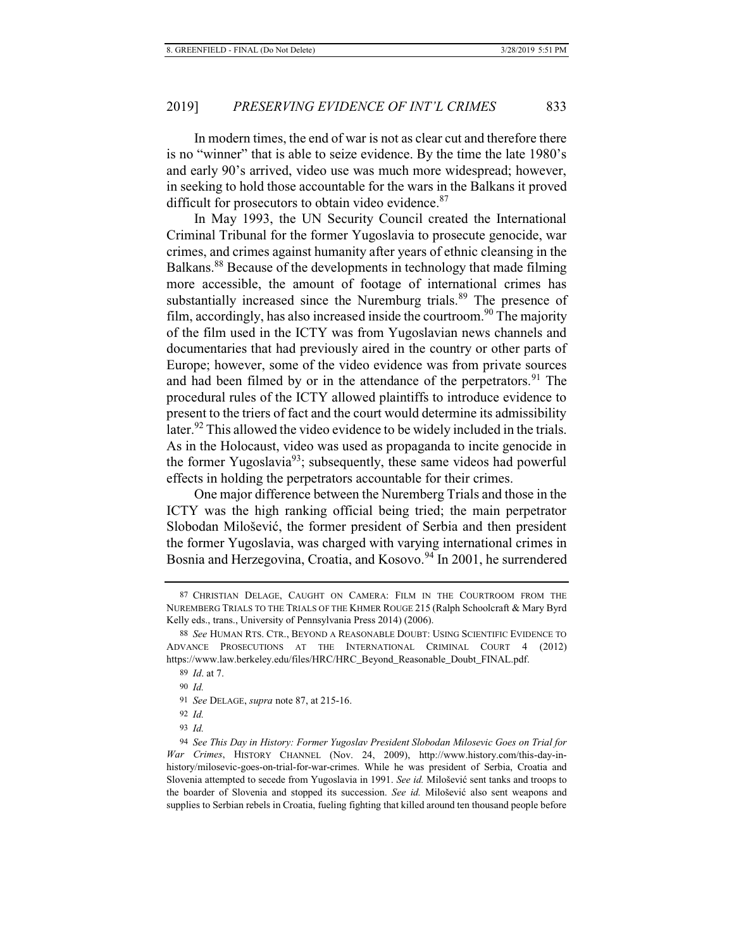In modern times, the end of war is not as clear cut and therefore there is no "winner" that is able to seize evidence. By the time the late 1980's and early 90's arrived, video use was much more widespread; however, in seeking to hold those accountable for the wars in the Balkans it proved difficult for prosecutors to obtain video evidence.<sup>87</sup>

In May 1993, the UN Security Council created the International Criminal Tribunal for the former Yugoslavia to prosecute genocide, war crimes, and crimes against humanity after years of ethnic cleansing in the Balkans.<sup>88</sup> Because of the developments in technology that made filming more accessible, the amount of footage of international crimes has substantially increased since the Nuremburg trials.<sup>89</sup> The presence of film, accordingly, has also increased inside the courtroom.<sup>90</sup> The majority of the film used in the ICTY was from Yugoslavian news channels and documentaries that had previously aired in the country or other parts of Europe; however, some of the video evidence was from private sources and had been filmed by or in the attendance of the perpetrators. $91$  The procedural rules of the ICTY allowed plaintiffs to introduce evidence to present to the triers of fact and the court would determine its admissibility later.<sup>92</sup> This allowed the video evidence to be widely included in the trials. As in the Holocaust, video was used as propaganda to incite genocide in the former Yugoslavia<sup>93</sup>; subsequently, these same videos had powerful effects in holding the perpetrators accountable for their crimes.

One major difference between the Nuremberg Trials and those in the ICTY was the high ranking official being tried; the main perpetrator Slobodan Milošević, the former president of Serbia and then president the former Yugoslavia, was charged with varying international crimes in Bosnia and Herzegovina, Croatia, and Kosovo.<sup>94</sup> In 2001, he surrendered

<sup>87</sup> CHRISTIAN DELAGE, CAUGHT ON CAMERA: FILM IN THE COURTROOM FROM THE NUREMBERG TRIALS TO THE TRIALS OF THE KHMER ROUGE 215 (Ralph Schoolcraft & Mary Byrd Kelly eds., trans., University of Pennsylvania Press 2014) (2006).

<sup>88</sup> *See* HUMAN RTS. CTR., BEYOND A REASONABLE DOUBT: USING SCIENTIFIC EVIDENCE TO ADVANCE PROSECUTIONS AT THE INTERNATIONAL CRIMINAL COURT 4 (2012) https://www.law.berkeley.edu/files/HRC/HRC\_Beyond\_Reasonable\_Doubt\_FINAL.pdf.

<sup>89</sup> *Id*. at 7.

<sup>90</sup> *Id.*

<sup>91</sup> *See* DELAGE, *supra* note 87, at 215-16.

<sup>92</sup> *Id.*

<sup>93</sup> *Id.*

<sup>94</sup> *See This Day in History: Former Yugoslav President Slobodan Milosevic Goes on Trial for War Crimes*, HISTORY CHANNEL (Nov. 24, 2009), http://www.history.com/this-day-inhistory/milosevic-goes-on-trial-for-war-crimes. While he was president of Serbia, Croatia and Slovenia attempted to secede from Yugoslavia in 1991. *See id.* Milošević sent tanks and troops to the boarder of Slovenia and stopped its succession. *See id.* Milošević also sent weapons and supplies to Serbian rebels in Croatia, fueling fighting that killed around ten thousand people before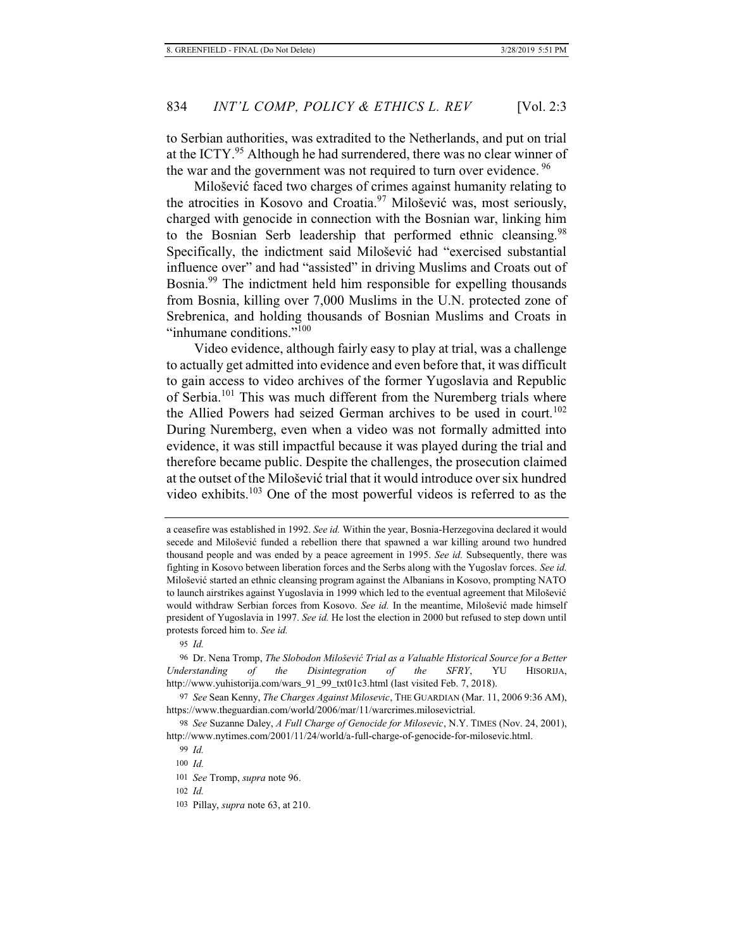to Serbian authorities, was extradited to the Netherlands, and put on trial at the ICTY.<sup>95</sup> Although he had surrendered, there was no clear winner of the war and the government was not required to turn over evidence.<sup>96</sup>

Milošević faced two charges of crimes against humanity relating to the atrocities in Kosovo and Croatia.<sup>97</sup> Milošević was, most seriously, charged with genocide in connection with the Bosnian war, linking him to the Bosnian Serb leadership that performed ethnic cleansing.<sup>98</sup> Specifically, the indictment said Milošević had "exercised substantial influence over" and had "assisted" in driving Muslims and Croats out of Bosnia.99 The indictment held him responsible for expelling thousands from Bosnia, killing over 7,000 Muslims in the U.N. protected zone of Srebrenica, and holding thousands of Bosnian Muslims and Croats in "inhumane conditions."<sup>100</sup>

Video evidence, although fairly easy to play at trial, was a challenge to actually get admitted into evidence and even before that, it was difficult to gain access to video archives of the former Yugoslavia and Republic of Serbia.101 This was much different from the Nuremberg trials where the Allied Powers had seized German archives to be used in court.<sup>102</sup> During Nuremberg, even when a video was not formally admitted into evidence, it was still impactful because it was played during the trial and therefore became public. Despite the challenges, the prosecution claimed at the outset of the Milošević trial that it would introduce over six hundred video exhibits.<sup>103</sup> One of the most powerful videos is referred to as the

95 *Id.*

a ceasefire was established in 1992. *See id.* Within the year, Bosnia-Herzegovina declared it would secede and Milošević funded a rebellion there that spawned a war killing around two hundred thousand people and was ended by a peace agreement in 1995. *See id.* Subsequently, there was fighting in Kosovo between liberation forces and the Serbs along with the Yugoslav forces. *See id.*  Milošević started an ethnic cleansing program against the Albanians in Kosovo, prompting NATO to launch airstrikes against Yugoslavia in 1999 which led to the eventual agreement that Milošević would withdraw Serbian forces from Kosovo. *See id.* In the meantime, Milošević made himself president of Yugoslavia in 1997. *See id.* He lost the election in 2000 but refused to step down until protests forced him to. *See id.*

<sup>96</sup> Dr. Nena Tromp, *The Slobodon Milošević Trial as a Valuable Historical Source for a Better Understanding of the Disintegration of the SFRY*, YU HISORIJA, http://www.yuhistorija.com/wars\_91\_99\_txt01c3.html (last visited Feb. 7, 2018).

<sup>97</sup> *See* Sean Kenny, *The Charges Against Milosevic*, THE GUARDIAN (Mar. 11, 2006 9:36 AM), https://www.theguardian.com/world/2006/mar/11/warcrimes.milosevictrial.

<sup>98</sup> *See* Suzanne Daley, *A Full Charge of Genocide for Milosevic*, N.Y. TIMES (Nov. 24, 2001), http://www.nytimes.com/2001/11/24/world/a-full-charge-of-genocide-for-milosevic.html.

<sup>99</sup> *Id.*

<sup>100</sup> *Id.*

<sup>101</sup> *See* Tromp, *supra* note 96.

<sup>102</sup> *Id.*

<sup>103</sup> Pillay, *supra* note 63, at 210.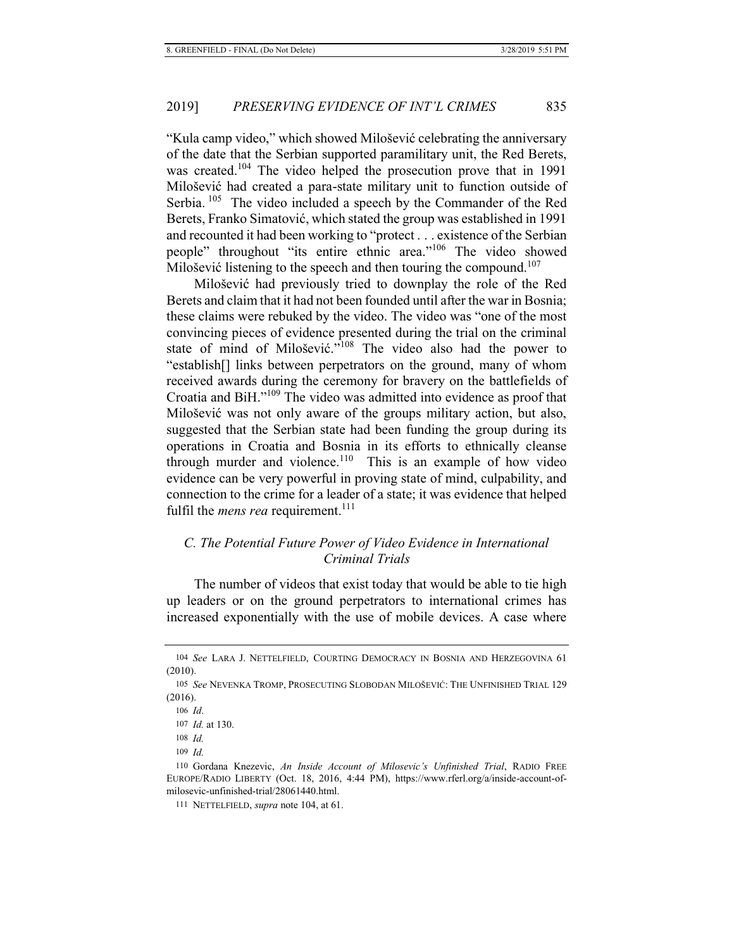"Kula camp video," which showed Milošević celebrating the anniversary of the date that the Serbian supported paramilitary unit, the Red Berets, was created.<sup>104</sup> The video helped the prosecution prove that in 1991 Milošević had created a para-state military unit to function outside of Serbia. <sup>105</sup> The video included a speech by the Commander of the Red Berets, Franko Simatović, which stated the group was established in 1991 and recounted it had been working to "protect . . . existence of the Serbian people" throughout "its entire ethnic area."106 The video showed Milošević listening to the speech and then touring the compound.<sup>107</sup>

Milošević had previously tried to downplay the role of the Red Berets and claim that it had not been founded until after the war in Bosnia; these claims were rebuked by the video. The video was "one of the most convincing pieces of evidence presented during the trial on the criminal state of mind of Milošević."108 The video also had the power to "establish[] links between perpetrators on the ground, many of whom received awards during the ceremony for bravery on the battlefields of Croatia and BiH."109 The video was admitted into evidence as proof that Milošević was not only aware of the groups military action, but also, suggested that the Serbian state had been funding the group during its operations in Croatia and Bosnia in its efforts to ethnically cleanse through murder and violence. $110$  This is an example of how video evidence can be very powerful in proving state of mind, culpability, and connection to the crime for a leader of a state; it was evidence that helped fulfil the *mens rea* requirement.<sup>111</sup>

# *C. The Potential Future Power of Video Evidence in International Criminal Trials*

The number of videos that exist today that would be able to tie high up leaders or on the ground perpetrators to international crimes has increased exponentially with the use of mobile devices. A case where

<sup>104</sup> *See* LARA J. NETTELFIELD, COURTING DEMOCRACY IN BOSNIA AND HERZEGOVINA 61 (2010).

<sup>105</sup> *See* NEVENKA TROMP, PROSECUTING SLOBODAN MILOŠEVIĆ: THE UNFINISHED TRIAL 129 (2016).

<sup>106</sup> *Id*.

<sup>107</sup> *Id.* at 130.

<sup>108</sup> *Id.*

<sup>109</sup> *Id.*

<sup>110</sup> Gordana Knezevic, *An Inside Account of Milosevic's Unfinished Trial*, RADIO FREE EUROPE/RADIO LIBERTY (Oct. 18, 2016, 4:44 PM), https://www.rferl.org/a/inside-account-ofmilosevic-unfinished-trial/28061440.html.

<sup>111</sup> NETTELFIELD, *supra* note 104, at 61.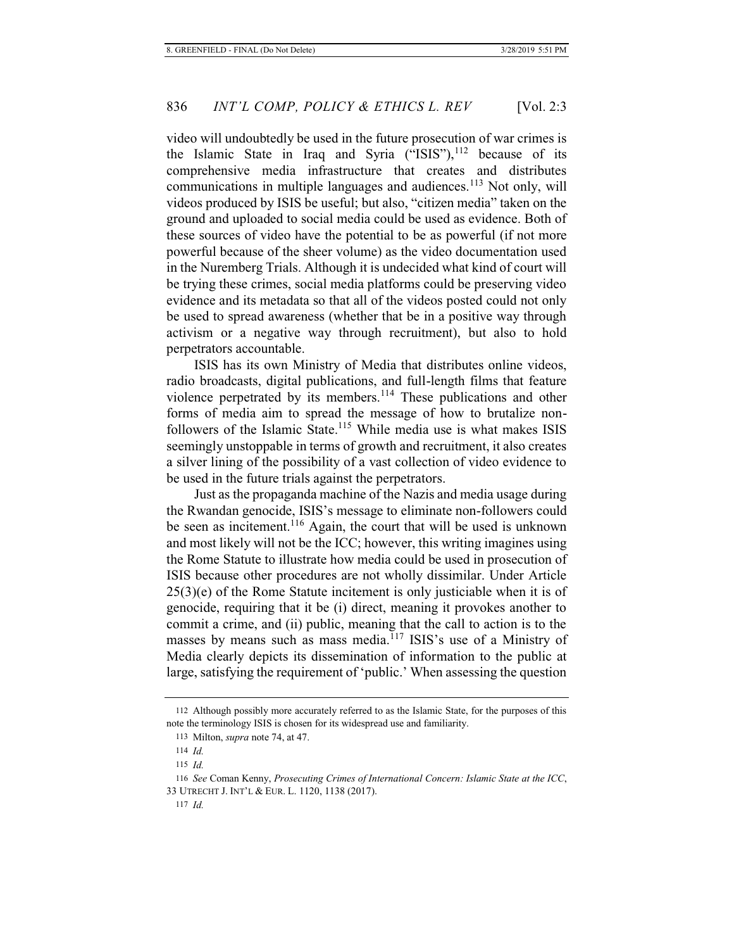video will undoubtedly be used in the future prosecution of war crimes is the Islamic State in Iraq and Syria  $(^{4}$ ISIS"),<sup>112</sup> because of its comprehensive media infrastructure that creates and distributes communications in multiple languages and audiences.<sup>113</sup> Not only, will videos produced by ISIS be useful; but also, "citizen media" taken on the ground and uploaded to social media could be used as evidence. Both of these sources of video have the potential to be as powerful (if not more powerful because of the sheer volume) as the video documentation used in the Nuremberg Trials. Although it is undecided what kind of court will be trying these crimes, social media platforms could be preserving video evidence and its metadata so that all of the videos posted could not only be used to spread awareness (whether that be in a positive way through activism or a negative way through recruitment), but also to hold perpetrators accountable.

ISIS has its own Ministry of Media that distributes online videos, radio broadcasts, digital publications, and full-length films that feature violence perpetrated by its members.<sup>114</sup> These publications and other forms of media aim to spread the message of how to brutalize nonfollowers of the Islamic State.<sup>115</sup> While media use is what makes ISIS seemingly unstoppable in terms of growth and recruitment, it also creates a silver lining of the possibility of a vast collection of video evidence to be used in the future trials against the perpetrators.

Just as the propaganda machine of the Nazis and media usage during the Rwandan genocide, ISIS's message to eliminate non-followers could be seen as incitement.<sup>116</sup> Again, the court that will be used is unknown and most likely will not be the ICC; however, this writing imagines using the Rome Statute to illustrate how media could be used in prosecution of ISIS because other procedures are not wholly dissimilar. Under Article  $25(3)(e)$  of the Rome Statute incitement is only justiciable when it is of genocide, requiring that it be (i) direct, meaning it provokes another to commit a crime, and (ii) public, meaning that the call to action is to the masses by means such as mass media.<sup>117</sup> ISIS's use of a Ministry of Media clearly depicts its dissemination of information to the public at large, satisfying the requirement of 'public.' When assessing the question

<sup>112</sup> Although possibly more accurately referred to as the Islamic State, for the purposes of this note the terminology ISIS is chosen for its widespread use and familiarity.

<sup>113</sup> Milton, *supra* note 74, at 47.

<sup>114</sup> *Id.*

<sup>115</sup> *Id.*

<sup>116</sup> *See* Coman Kenny, *Prosecuting Crimes of International Concern: Islamic State at the ICC*, 33 UTRECHT J. INT'L & EUR. L. 1120, 1138 (2017).

<sup>117</sup> *Id.*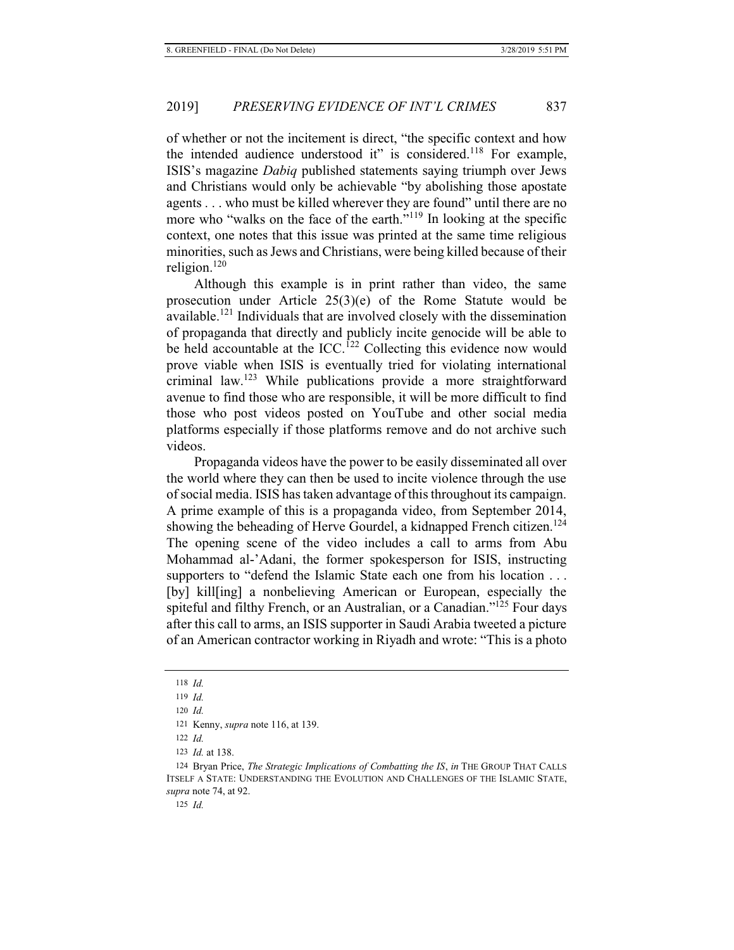of whether or not the incitement is direct, "the specific context and how the intended audience understood it" is considered.<sup>118</sup> For example, ISIS's magazine *Dabiq* published statements saying triumph over Jews and Christians would only be achievable "by abolishing those apostate agents . . . who must be killed wherever they are found" until there are no more who "walks on the face of the earth."<sup>119</sup> In looking at the specific context, one notes that this issue was printed at the same time religious minorities, such as Jews and Christians, were being killed because of their religion. $120$ 

Although this example is in print rather than video, the same prosecution under Article 25(3)(e) of the Rome Statute would be available.121 Individuals that are involved closely with the dissemination of propaganda that directly and publicly incite genocide will be able to be held accountable at the ICC.<sup>122</sup> Collecting this evidence now would prove viable when ISIS is eventually tried for violating international criminal law.123 While publications provide a more straightforward avenue to find those who are responsible, it will be more difficult to find those who post videos posted on YouTube and other social media platforms especially if those platforms remove and do not archive such videos.

Propaganda videos have the power to be easily disseminated all over the world where they can then be used to incite violence through the use of social media. ISIS has taken advantage of this throughout its campaign. A prime example of this is a propaganda video, from September 2014, showing the beheading of Herve Gourdel, a kidnapped French citizen.<sup>124</sup> The opening scene of the video includes a call to arms from Abu Mohammad al-'Adani, the former spokesperson for ISIS, instructing supporters to "defend the Islamic State each one from his location . . . [by] kill[ing] a nonbelieving American or European, especially the spiteful and filthy French, or an Australian, or a Canadian."<sup>125</sup> Four days after this call to arms, an ISIS supporter in Saudi Arabia tweeted a picture of an American contractor working in Riyadh and wrote: "This is a photo

125 *Id.*

<sup>118</sup> *Id.*

<sup>119</sup> *Id.*

<sup>120</sup> *Id.*

<sup>121</sup> Kenny, *supra* note 116, at 139.

<sup>122</sup> *Id.*

<sup>123</sup> *Id.* at 138.

<sup>124</sup> Bryan Price, *The Strategic Implications of Combatting the IS*, *in* THE GROUP THAT CALLS ITSELF A STATE: UNDERSTANDING THE EVOLUTION AND CHALLENGES OF THE ISLAMIC STATE, *supra* note 74, at 92.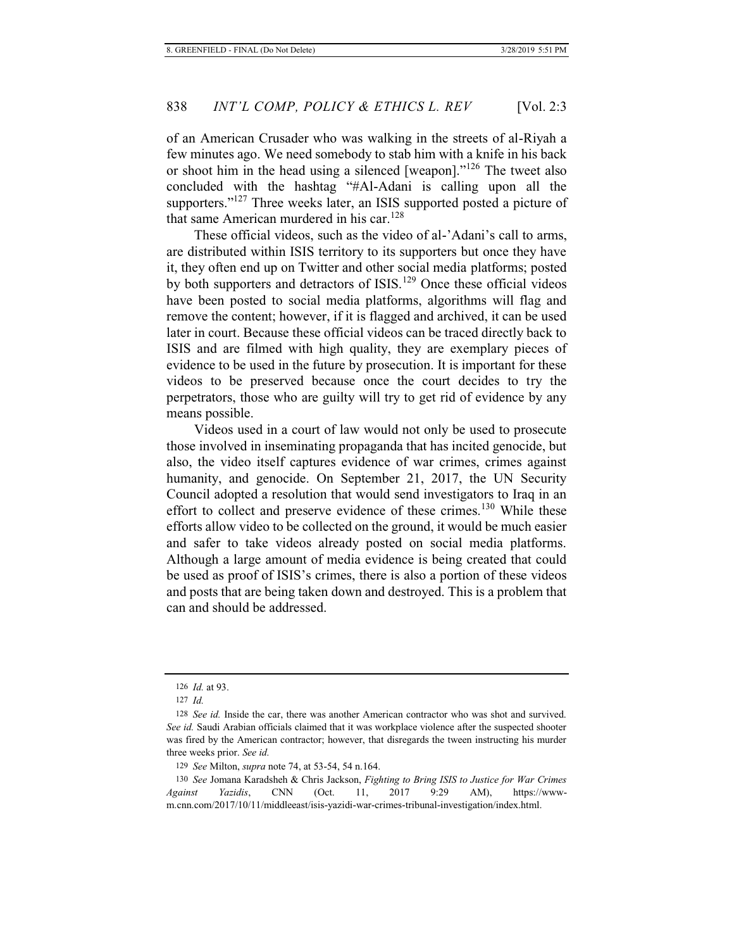of an American Crusader who was walking in the streets of al-Riyah a few minutes ago. We need somebody to stab him with a knife in his back or shoot him in the head using a silenced [weapon]."126 The tweet also concluded with the hashtag "#Al-Adani is calling upon all the supporters."<sup>127</sup> Three weeks later, an ISIS supported posted a picture of that same American murdered in his car.<sup>128</sup>

These official videos, such as the video of al-'Adani's call to arms, are distributed within ISIS territory to its supporters but once they have it, they often end up on Twitter and other social media platforms; posted by both supporters and detractors of ISIS.<sup>129</sup> Once these official videos have been posted to social media platforms, algorithms will flag and remove the content; however, if it is flagged and archived, it can be used later in court. Because these official videos can be traced directly back to ISIS and are filmed with high quality, they are exemplary pieces of evidence to be used in the future by prosecution. It is important for these videos to be preserved because once the court decides to try the perpetrators, those who are guilty will try to get rid of evidence by any means possible.

Videos used in a court of law would not only be used to prosecute those involved in inseminating propaganda that has incited genocide, but also, the video itself captures evidence of war crimes, crimes against humanity, and genocide. On September 21, 2017, the UN Security Council adopted a resolution that would send investigators to Iraq in an effort to collect and preserve evidence of these crimes.<sup>130</sup> While these efforts allow video to be collected on the ground, it would be much easier and safer to take videos already posted on social media platforms. Although a large amount of media evidence is being created that could be used as proof of ISIS's crimes, there is also a portion of these videos and posts that are being taken down and destroyed. This is a problem that can and should be addressed.

<sup>126</sup> *Id.* at 93.

<sup>127</sup> *Id.*

<sup>128</sup> *See id.* Inside the car, there was another American contractor who was shot and survived. *See id.* Saudi Arabian officials claimed that it was workplace violence after the suspected shooter was fired by the American contractor; however, that disregards the tween instructing his murder three weeks prior. *See id.*

<sup>129</sup> *See* Milton, *supra* note 74, at 53-54, 54 n.164.

<sup>130</sup> *See* Jomana Karadsheh & Chris Jackson, *Fighting to Bring ISIS to Justice for War Crimes Against Yazidis*, CNN (Oct. 11, 2017 9:29 AM), https://wwwm.cnn.com/2017/10/11/middleeast/isis-yazidi-war-crimes-tribunal-investigation/index.html.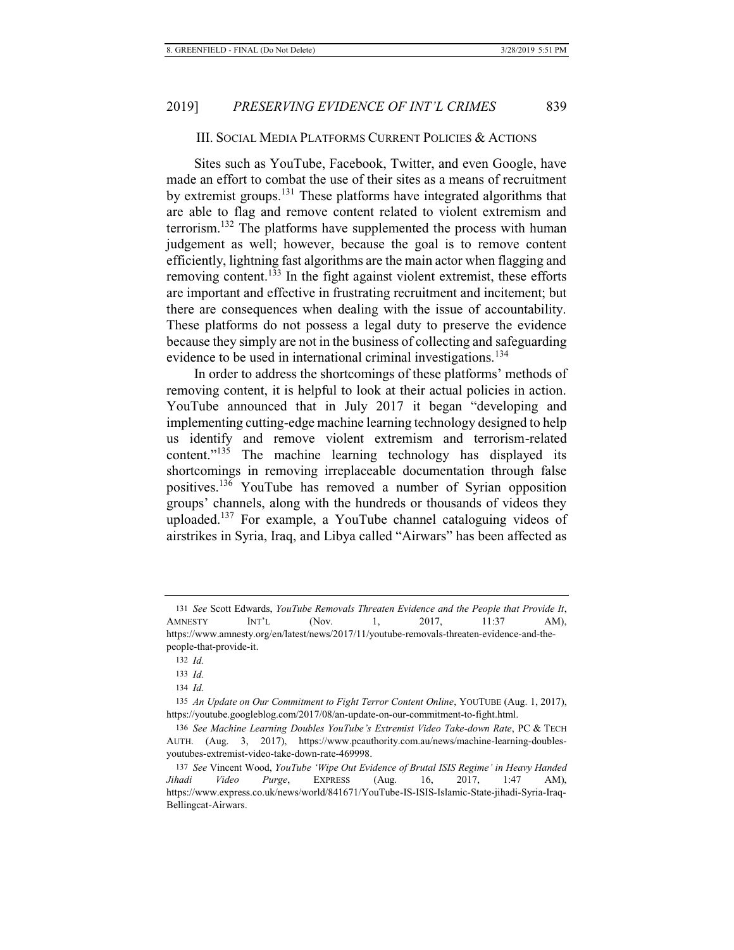### III. SOCIAL MEDIA PLATFORMS CURRENT POLICIES & ACTIONS

Sites such as YouTube, Facebook, Twitter, and even Google, have made an effort to combat the use of their sites as a means of recruitment by extremist groups.131 These platforms have integrated algorithms that are able to flag and remove content related to violent extremism and terrorism.132 The platforms have supplemented the process with human judgement as well; however, because the goal is to remove content efficiently, lightning fast algorithms are the main actor when flagging and removing content.<sup>133</sup> In the fight against violent extremist, these efforts are important and effective in frustrating recruitment and incitement; but there are consequences when dealing with the issue of accountability. These platforms do not possess a legal duty to preserve the evidence because they simply are not in the business of collecting and safeguarding evidence to be used in international criminal investigations.<sup>134</sup>

In order to address the shortcomings of these platforms' methods of removing content, it is helpful to look at their actual policies in action. YouTube announced that in July 2017 it began "developing and implementing cutting-edge machine learning technology designed to help us identify and remove violent extremism and terrorism-related content."<sup>135</sup> The machine learning technology has displayed its shortcomings in removing irreplaceable documentation through false positives.136 YouTube has removed a number of Syrian opposition groups' channels, along with the hundreds or thousands of videos they uploaded.137 For example, a YouTube channel cataloguing videos of airstrikes in Syria, Iraq, and Libya called "Airwars" has been affected as

<sup>131</sup> *See* Scott Edwards, *YouTube Removals Threaten Evidence and the People that Provide It*, AMNESTY INT'L (Nov. 1, 2017, 11:37 AM), https://www.amnesty.org/en/latest/news/2017/11/youtube-removals-threaten-evidence-and-thepeople-that-provide-it.

<sup>132</sup> *Id.*

<sup>133</sup> *Id.*

<sup>134</sup> *Id.*

<sup>135</sup> *An Update on Our Commitment to Fight Terror Content Online*, YOUTUBE (Aug. 1, 2017), https://youtube.googleblog.com/2017/08/an-update-on-our-commitment-to-fight.html.

<sup>136</sup> *See Machine Learning Doubles YouTube's Extremist Video Take-down Rate*, PC & TECH AUTH. (Aug. 3, 2017), https://www.pcauthority.com.au/news/machine-learning-doublesyoutubes-extremist-video-take-down-rate-469998.

<sup>137</sup> *See* Vincent Wood, *YouTube 'Wipe Out Evidence of Brutal ISIS Regime' in Heavy Handed Jihadi Video Purge*, EXPRESS (Aug. 16, 2017, 1:47 AM), https://www.express.co.uk/news/world/841671/YouTube-IS-ISIS-Islamic-State-jihadi-Syria-Iraq-Bellingcat-Airwars.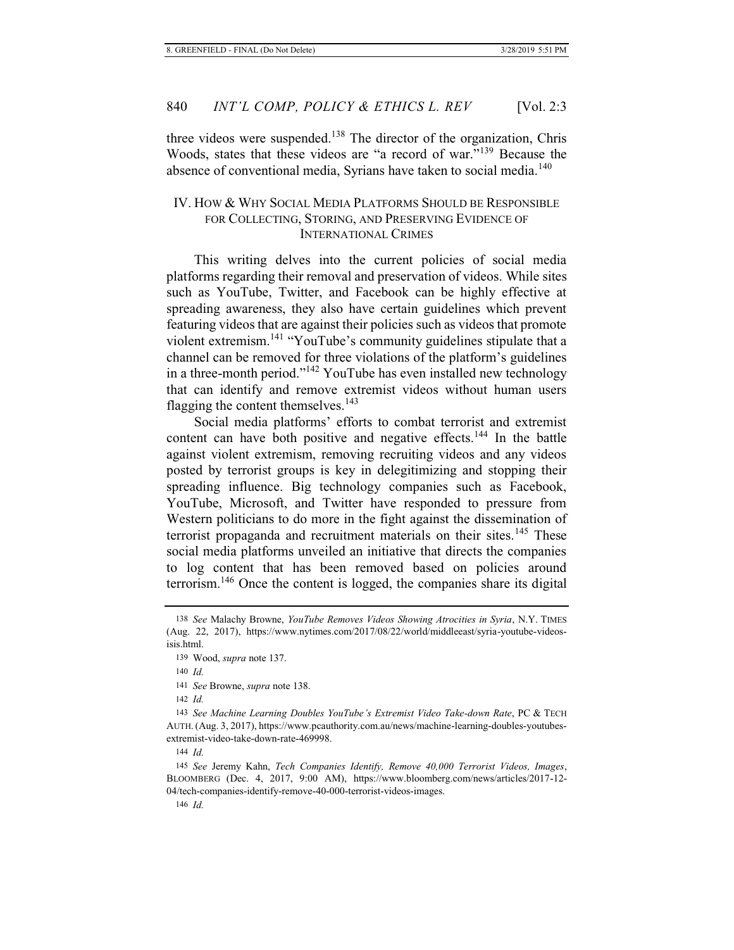three videos were suspended.<sup>138</sup> The director of the organization, Chris Woods, states that these videos are "a record of war."<sup>139</sup> Because the absence of conventional media, Syrians have taken to social media.<sup>140</sup>

# IV. HOW & WHY SOCIAL MEDIA PLATFORMS SHOULD BE RESPONSIBLE FOR COLLECTING, STORING, AND PRESERVING EVIDENCE OF INTERNATIONAL CRIMES

This writing delves into the current policies of social media platforms regarding their removal and preservation of videos. While sites such as YouTube, Twitter, and Facebook can be highly effective at spreading awareness, they also have certain guidelines which prevent featuring videos that are against their policies such as videos that promote violent extremism.<sup>141</sup> "YouTube's community guidelines stipulate that a channel can be removed for three violations of the platform's guidelines in a three-month period."142 YouTube has even installed new technology that can identify and remove extremist videos without human users flagging the content themselves.  $143$ 

Social media platforms' efforts to combat terrorist and extremist content can have both positive and negative effects.<sup>144</sup> In the battle against violent extremism, removing recruiting videos and any videos posted by terrorist groups is key in delegitimizing and stopping their spreading influence. Big technology companies such as Facebook, YouTube, Microsoft, and Twitter have responded to pressure from Western politicians to do more in the fight against the dissemination of terrorist propaganda and recruitment materials on their sites.<sup>145</sup> These social media platforms unveiled an initiative that directs the companies to log content that has been removed based on policies around terrorism.146 Once the content is logged, the companies share its digital

<sup>138</sup> *See* Malachy Browne, *YouTube Removes Videos Showing Atrocities in Syria*, N.Y. TIMES (Aug. 22, 2017), https://www.nytimes.com/2017/08/22/world/middleeast/syria-youtube-videosisis.html.

<sup>139</sup> Wood, *supra* note 137.

<sup>140</sup> *Id.*

<sup>141</sup> *See* Browne, *supra* note 138.

<sup>142</sup> *Id.*

<sup>143</sup> *See Machine Learning Doubles YouTube's Extremist Video Take-down Rate*, PC & TECH AUTH. (Aug. 3, 2017), https://www.pcauthority.com.au/news/machine-learning-doubles-youtubesextremist-video-take-down-rate-469998.

<sup>144</sup> *Id.*

<sup>145</sup> *See* Jeremy Kahn, *Tech Companies Identify, Remove 40,000 Terrorist Videos, Images*, BLOOMBERG (Dec. 4, 2017, 9:00 AM), https://www.bloomberg.com/news/articles/2017-12- 04/tech-companies-identify-remove-40-000-terrorist-videos-images.

<sup>146</sup> *Id.*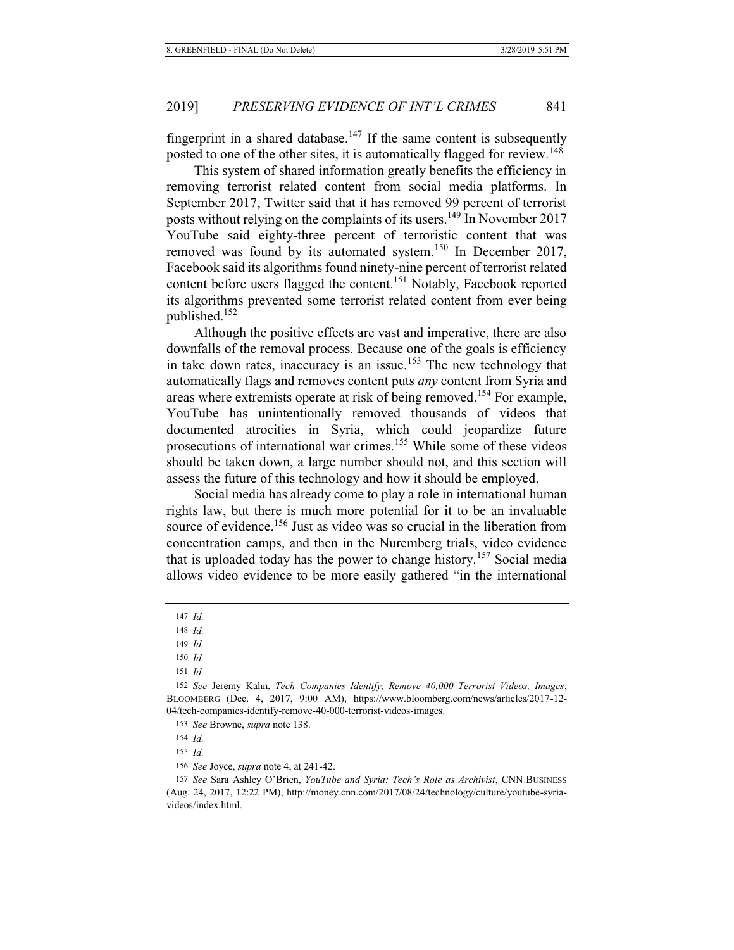fingerprint in a shared database.<sup>147</sup> If the same content is subsequently posted to one of the other sites, it is automatically flagged for review.<sup>148</sup>

This system of shared information greatly benefits the efficiency in removing terrorist related content from social media platforms. In September 2017, Twitter said that it has removed 99 percent of terrorist posts without relying on the complaints of its users.<sup>149</sup> In November 2017 YouTube said eighty-three percent of terroristic content that was removed was found by its automated system.<sup>150</sup> In December 2017, Facebook said its algorithms found ninety-nine percent of terrorist related content before users flagged the content.<sup>151</sup> Notably, Facebook reported its algorithms prevented some terrorist related content from ever being published.152

Although the positive effects are vast and imperative, there are also downfalls of the removal process. Because one of the goals is efficiency in take down rates, inaccuracy is an issue.<sup>153</sup> The new technology that automatically flags and removes content puts *any* content from Syria and areas where extremists operate at risk of being removed.<sup>154</sup> For example, YouTube has unintentionally removed thousands of videos that documented atrocities in Syria, which could jeopardize future prosecutions of international war crimes.155 While some of these videos should be taken down, a large number should not, and this section will assess the future of this technology and how it should be employed.

Social media has already come to play a role in international human rights law, but there is much more potential for it to be an invaluable source of evidence.<sup>156</sup> Just as video was so crucial in the liberation from concentration camps, and then in the Nuremberg trials, video evidence that is uploaded today has the power to change history.<sup>157</sup> Social media allows video evidence to be more easily gathered "in the international

153 *See* Browne, *supra* note 138.

154 *Id.*

155 *Id.*

156 *See* Joyce, *supra* note 4, at 241-42.

157 *See* Sara Ashley O'Brien, *YouTube and Syria: Tech's Role as Archivist*, CNN BUSINESS (Aug. 24, 2017, 12:22 PM), http://money.cnn.com/2017/08/24/technology/culture/youtube-syriavideos/index.html.

<sup>147</sup> *Id.*

<sup>148</sup> *Id.*

<sup>149</sup> *Id.*

<sup>150</sup> *Id.*

<sup>151</sup> *Id.*

<sup>152</sup> *See* Jeremy Kahn, *Tech Companies Identify, Remove 40,000 Terrorist Videos, Images*, BLOOMBERG (Dec. 4, 2017, 9:00 AM), https://www.bloomberg.com/news/articles/2017-12- 04/tech-companies-identify-remove-40-000-terrorist-videos-images.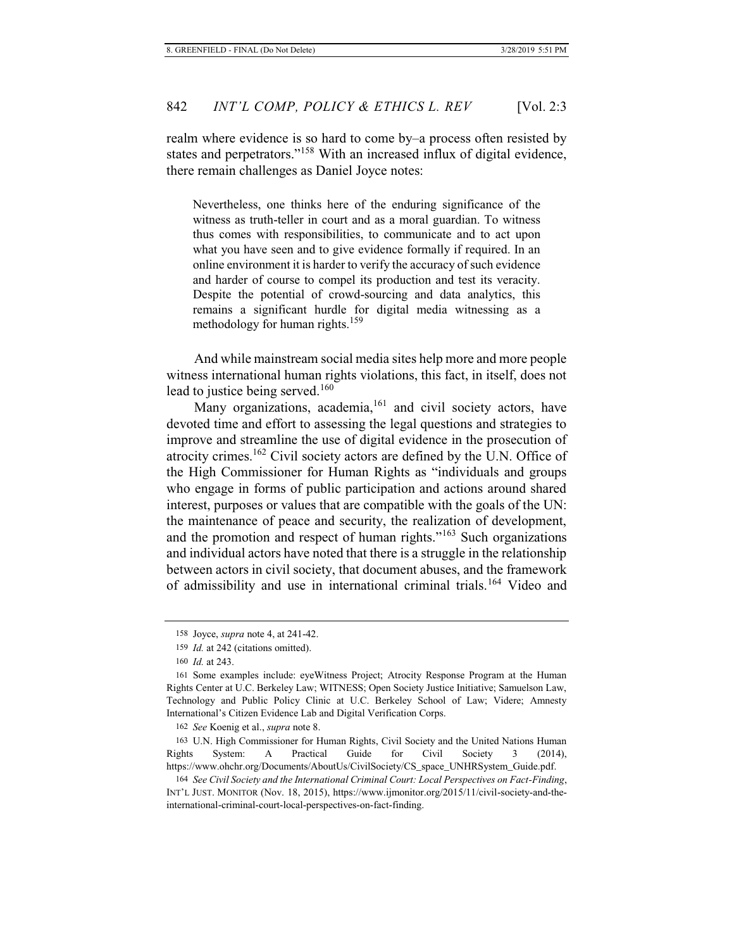realm where evidence is so hard to come by–a process often resisted by states and perpetrators."158 With an increased influx of digital evidence, there remain challenges as Daniel Joyce notes:

Nevertheless, one thinks here of the enduring significance of the witness as truth-teller in court and as a moral guardian. To witness thus comes with responsibilities, to communicate and to act upon what you have seen and to give evidence formally if required. In an online environment it is harder to verify the accuracy of such evidence and harder of course to compel its production and test its veracity. Despite the potential of crowd-sourcing and data analytics, this remains a significant hurdle for digital media witnessing as a methodology for human rights.<sup>159</sup>

And while mainstream social media sites help more and more people witness international human rights violations, this fact, in itself, does not lead to justice being served. $160$ 

Many organizations, academia,<sup>161</sup> and civil society actors, have devoted time and effort to assessing the legal questions and strategies to improve and streamline the use of digital evidence in the prosecution of atrocity crimes.<sup>162</sup> Civil society actors are defined by the U.N. Office of the High Commissioner for Human Rights as "individuals and groups who engage in forms of public participation and actions around shared interest, purposes or values that are compatible with the goals of the UN: the maintenance of peace and security, the realization of development, and the promotion and respect of human rights."163 Such organizations and individual actors have noted that there is a struggle in the relationship between actors in civil society, that document abuses, and the framework of admissibility and use in international criminal trials.164 Video and

<sup>158</sup> Joyce, *supra* note 4, at 241-42.

<sup>159</sup> *Id.* at 242 (citations omitted).

<sup>160</sup> *Id.* at 243.

<sup>161</sup> Some examples include: eyeWitness Project; Atrocity Response Program at the Human Rights Center at U.C. Berkeley Law; WITNESS; Open Society Justice Initiative; Samuelson Law, Technology and Public Policy Clinic at U.C. Berkeley School of Law; Videre; Amnesty International's Citizen Evidence Lab and Digital Verification Corps.

<sup>162</sup> *See* Koenig et al., *supra* note 8.

<sup>163</sup> U.N. High Commissioner for Human Rights, Civil Society and the United Nations Human Rights System: A Practical Guide for Civil Society 3 (2014), https://www.ohchr.org/Documents/AboutUs/CivilSociety/CS\_space\_UNHRSystem\_Guide.pdf.

<sup>164</sup> *See Civil Society and the International Criminal Court: Local Perspectives on Fact-Finding*, INT'L JUST. MONITOR (Nov. 18, 2015), https://www.ijmonitor.org/2015/11/civil-society-and-theinternational-criminal-court-local-perspectives-on-fact-finding.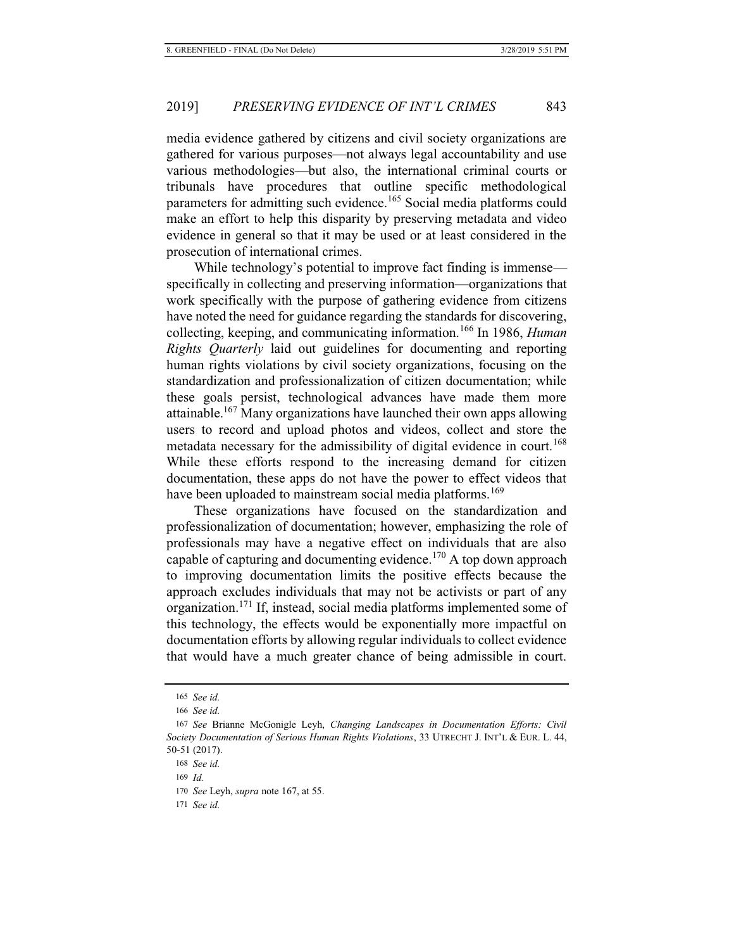media evidence gathered by citizens and civil society organizations are gathered for various purposes—not always legal accountability and use various methodologies—but also, the international criminal courts or tribunals have procedures that outline specific methodological parameters for admitting such evidence.<sup>165</sup> Social media platforms could make an effort to help this disparity by preserving metadata and video evidence in general so that it may be used or at least considered in the prosecution of international crimes.

While technology's potential to improve fact finding is immense specifically in collecting and preserving information—organizations that work specifically with the purpose of gathering evidence from citizens have noted the need for guidance regarding the standards for discovering, collecting, keeping, and communicating information.166 In 1986, *Human Rights Quarterly* laid out guidelines for documenting and reporting human rights violations by civil society organizations, focusing on the standardization and professionalization of citizen documentation; while these goals persist, technological advances have made them more attainable.<sup>167</sup> Many organizations have launched their own apps allowing users to record and upload photos and videos, collect and store the metadata necessary for the admissibility of digital evidence in court.<sup>168</sup> While these efforts respond to the increasing demand for citizen documentation, these apps do not have the power to effect videos that have been uploaded to mainstream social media platforms.<sup>169</sup>

These organizations have focused on the standardization and professionalization of documentation; however, emphasizing the role of professionals may have a negative effect on individuals that are also capable of capturing and documenting evidence.<sup>170</sup> A top down approach to improving documentation limits the positive effects because the approach excludes individuals that may not be activists or part of any organization.171 If, instead, social media platforms implemented some of this technology, the effects would be exponentially more impactful on documentation efforts by allowing regular individuals to collect evidence that would have a much greater chance of being admissible in court.

<sup>165</sup> *See id.*

<sup>166</sup> *See id.*

<sup>167</sup> *See* Brianne McGonigle Leyh, *Changing Landscapes in Documentation Efforts: Civil Society Documentation of Serious Human Rights Violations*, 33 UTRECHT J. INT'L & EUR. L. 44, 50-51 (2017).

<sup>168</sup> *See id.*

<sup>169</sup> *Id.*

<sup>170</sup> *See* Leyh, *supra* note 167, at 55.

<sup>171</sup> *See id.*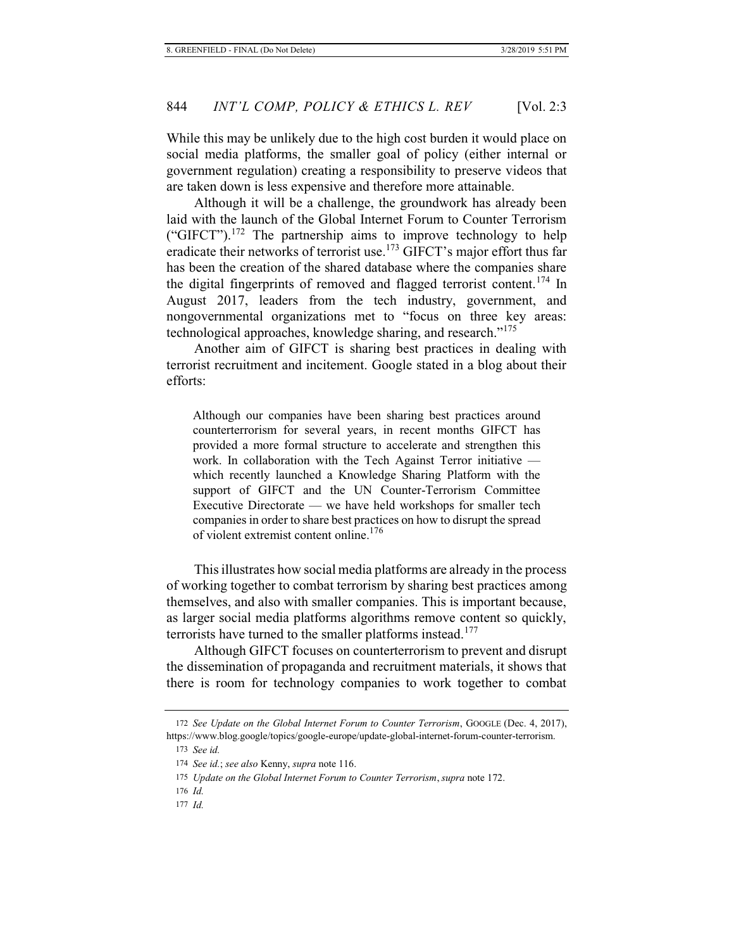While this may be unlikely due to the high cost burden it would place on social media platforms, the smaller goal of policy (either internal or government regulation) creating a responsibility to preserve videos that are taken down is less expensive and therefore more attainable.

Although it will be a challenge, the groundwork has already been laid with the launch of the Global Internet Forum to Counter Terrorism ("GIFCT").<sup>172</sup> The partnership aims to improve technology to help eradicate their networks of terrorist use.<sup>173</sup> GIFCT's major effort thus far has been the creation of the shared database where the companies share the digital fingerprints of removed and flagged terrorist content.<sup>174</sup> In August 2017, leaders from the tech industry, government, and nongovernmental organizations met to "focus on three key areas: technological approaches, knowledge sharing, and research."<sup>175</sup>

Another aim of GIFCT is sharing best practices in dealing with terrorist recruitment and incitement. Google stated in a blog about their efforts:

Although our companies have been sharing best practices around counterterrorism for several years, in recent months GIFCT has provided a more formal structure to accelerate and strengthen this work. In collaboration with the Tech Against Terror initiative which recently launched a Knowledge Sharing Platform with the support of GIFCT and the UN Counter-Terrorism Committee Executive Directorate — we have held workshops for smaller tech companies in order to share best practices on how to disrupt the spread of violent extremist content online.<sup>176</sup>

This illustrates how social media platforms are already in the process of working together to combat terrorism by sharing best practices among themselves, and also with smaller companies. This is important because, as larger social media platforms algorithms remove content so quickly, terrorists have turned to the smaller platforms instead.<sup>177</sup>

Although GIFCT focuses on counterterrorism to prevent and disrupt the dissemination of propaganda and recruitment materials, it shows that there is room for technology companies to work together to combat

<sup>172</sup> *See Update on the Global Internet Forum to Counter Terrorism*, GOOGLE (Dec. 4, 2017), https://www.blog.google/topics/google-europe/update-global-internet-forum-counter-terrorism.

<sup>173</sup> *See id.*

<sup>174</sup> *See id.*; *see also* Kenny, *supra* note 116.

<sup>175</sup> *Update on the Global Internet Forum to Counter Terrorism*, *supra* note 172.

<sup>176</sup> *Id.*

<sup>177</sup> *Id.*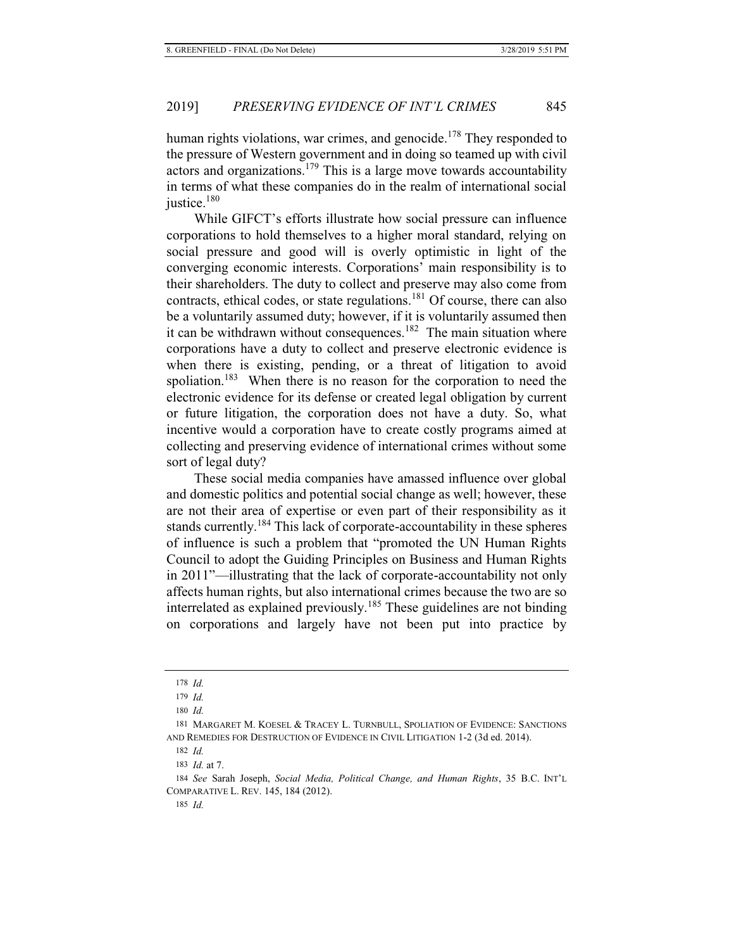human rights violations, war crimes, and genocide.<sup>178</sup> They responded to the pressure of Western government and in doing so teamed up with civil actors and organizations.<sup>179</sup> This is a large move towards accountability in terms of what these companies do in the realm of international social justice.<sup>180</sup>

While GIFCT's efforts illustrate how social pressure can influence corporations to hold themselves to a higher moral standard, relying on social pressure and good will is overly optimistic in light of the converging economic interests. Corporations' main responsibility is to their shareholders. The duty to collect and preserve may also come from contracts, ethical codes, or state regulations.<sup>181</sup> Of course, there can also be a voluntarily assumed duty; however, if it is voluntarily assumed then it can be withdrawn without consequences.<sup>182</sup> The main situation where corporations have a duty to collect and preserve electronic evidence is when there is existing, pending, or a threat of litigation to avoid spoliation.<sup>183</sup> When there is no reason for the corporation to need the electronic evidence for its defense or created legal obligation by current or future litigation, the corporation does not have a duty. So, what incentive would a corporation have to create costly programs aimed at collecting and preserving evidence of international crimes without some sort of legal duty?

These social media companies have amassed influence over global and domestic politics and potential social change as well; however, these are not their area of expertise or even part of their responsibility as it stands currently.<sup>184</sup> This lack of corporate-accountability in these spheres of influence is such a problem that "promoted the UN Human Rights Council to adopt the Guiding Principles on Business and Human Rights in 2011"—illustrating that the lack of corporate-accountability not only affects human rights, but also international crimes because the two are so interrelated as explained previously.<sup>185</sup> These guidelines are not binding on corporations and largely have not been put into practice by

182 *Id.*

<sup>178</sup> *Id.*

<sup>179</sup> *Id.*

<sup>180</sup> *Id.*

<sup>181</sup> MARGARET M. KOESEL & TRACEY L. TURNBULL, SPOLIATION OF EVIDENCE: SANCTIONS AND REMEDIES FOR DESTRUCTION OF EVIDENCE IN CIVIL LITIGATION 1-2 (3d ed. 2014).

<sup>183</sup> *Id.* at 7.

<sup>184</sup> *See* Sarah Joseph, *Social Media, Political Change, and Human Rights*, 35 B.C. INT'L COMPARATIVE L. REV. 145, 184 (2012).

<sup>185</sup> *Id.*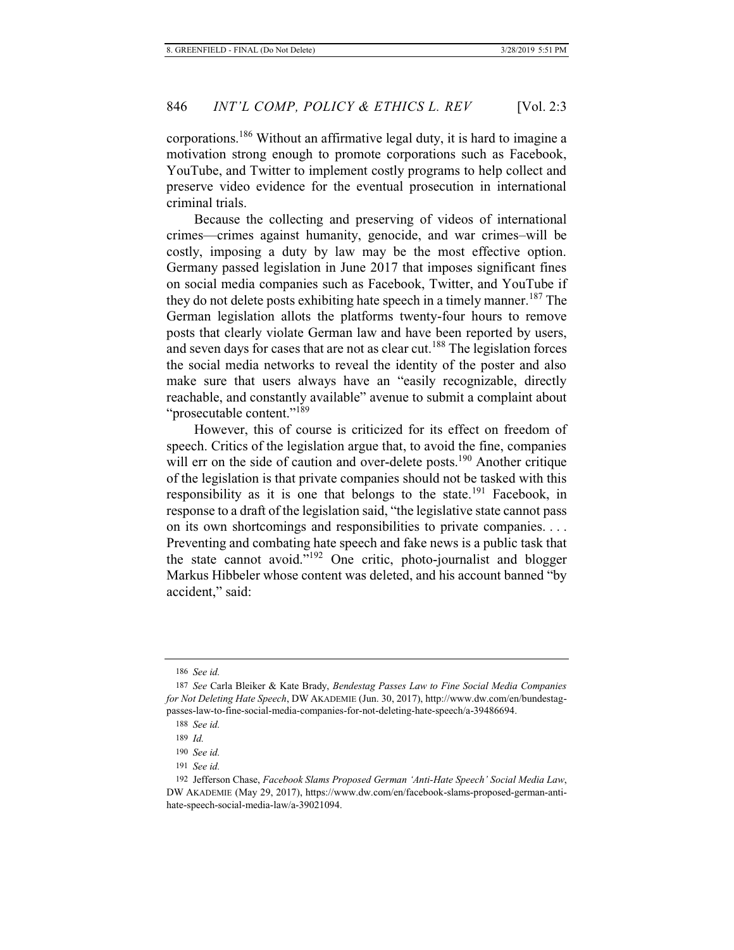corporations.186 Without an affirmative legal duty, it is hard to imagine a motivation strong enough to promote corporations such as Facebook, YouTube, and Twitter to implement costly programs to help collect and preserve video evidence for the eventual prosecution in international criminal trials.

Because the collecting and preserving of videos of international crimes—crimes against humanity, genocide, and war crimes–will be costly, imposing a duty by law may be the most effective option. Germany passed legislation in June 2017 that imposes significant fines on social media companies such as Facebook, Twitter, and YouTube if they do not delete posts exhibiting hate speech in a timely manner.<sup>187</sup> The German legislation allots the platforms twenty-four hours to remove posts that clearly violate German law and have been reported by users, and seven days for cases that are not as clear cut.<sup>188</sup> The legislation forces the social media networks to reveal the identity of the poster and also make sure that users always have an "easily recognizable, directly reachable, and constantly available" avenue to submit a complaint about "prosecutable content."<sup>189</sup>

However, this of course is criticized for its effect on freedom of speech. Critics of the legislation argue that, to avoid the fine, companies will err on the side of caution and over-delete posts.<sup>190</sup> Another critique of the legislation is that private companies should not be tasked with this responsibility as it is one that belongs to the state.<sup>191</sup> Facebook, in response to a draft of the legislation said, "the legislative state cannot pass on its own shortcomings and responsibilities to private companies. . . . Preventing and combating hate speech and fake news is a public task that the state cannot avoid."192 One critic, photo-journalist and blogger Markus Hibbeler whose content was deleted, and his account banned "by accident," said:

<sup>186</sup> *See id.*

<sup>187</sup> *See* Carla Bleiker & Kate Brady, *Bendestag Passes Law to Fine Social Media Companies for Not Deleting Hate Speech*, DW AKADEMIE (Jun. 30, 2017), http://www.dw.com/en/bundestagpasses-law-to-fine-social-media-companies-for-not-deleting-hate-speech/a-39486694.

<sup>188</sup> *See id.*

<sup>189</sup> *Id.*

<sup>190</sup> *See id.*

<sup>191</sup> *See id.*

<sup>192</sup> Jefferson Chase, *Facebook Slams Proposed German 'Anti-Hate Speech' Social Media Law*, DW AKADEMIE (May 29, 2017), https://www.dw.com/en/facebook-slams-proposed-german-antihate-speech-social-media-law/a-39021094.